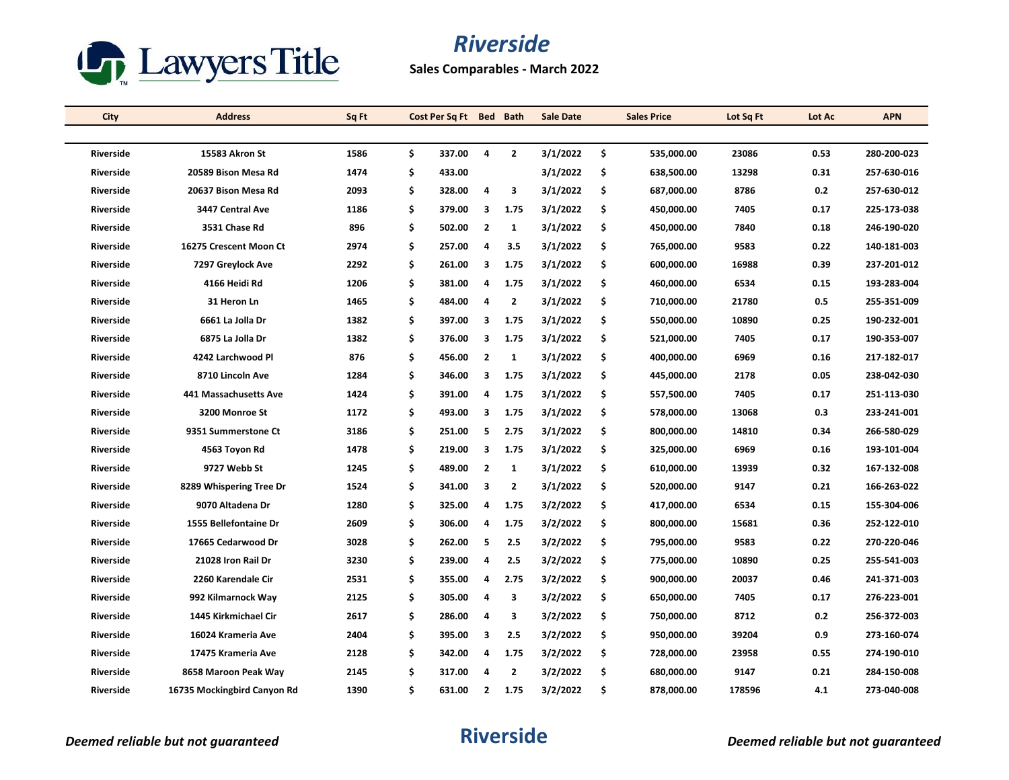

**Sales Comparables - March 2022**

| City             | <b>Address</b>              | Sq Ft | Cost Per Sq Ft Bed Bath |                |                | <b>Sale Date</b> |     | <b>Sales Price</b> | Lot Sq Ft | Lot Ac | <b>APN</b>  |
|------------------|-----------------------------|-------|-------------------------|----------------|----------------|------------------|-----|--------------------|-----------|--------|-------------|
|                  |                             |       |                         |                |                |                  |     |                    |           |        |             |
| <b>Riverside</b> | 15583 Akron St              | 1586  | \$<br>337.00            | $\overline{a}$ | $\overline{2}$ | 3/1/2022         | \$  | 535,000.00         | 23086     | 0.53   | 280-200-023 |
| <b>Riverside</b> | 20589 Bison Mesa Rd         | 1474  | \$<br>433.00            |                |                | 3/1/2022         | \$  | 638,500.00         | 13298     | 0.31   | 257-630-016 |
| Riverside        | 20637 Bison Mesa Rd         | 2093  | \$<br>328.00            | 4              | 3              | 3/1/2022         | \$  | 687,000.00         | 8786      | 0.2    | 257-630-012 |
| <b>Riverside</b> | 3447 Central Ave            | 1186  | \$<br>379.00            | 3              | 1.75           | 3/1/2022         | \$  | 450,000.00         | 7405      | 0.17   | 225-173-038 |
| <b>Riverside</b> | 3531 Chase Rd               | 896   | \$<br>502.00            | $\overline{2}$ | $\mathbf{1}$   | 3/1/2022         | \$  | 450,000.00         | 7840      | 0.18   | 246-190-020 |
| Riverside        | 16275 Crescent Moon Ct      | 2974  | \$<br>257.00            | $\overline{a}$ | 3.5            | 3/1/2022         | \$  | 765,000.00         | 9583      | 0.22   | 140-181-003 |
| <b>Riverside</b> | 7297 Greylock Ave           | 2292  | \$<br>261.00            | 3              | 1.75           | 3/1/2022         | \$  | 600,000.00         | 16988     | 0.39   | 237-201-012 |
| <b>Riverside</b> | 4166 Heidi Rd               | 1206  | \$<br>381.00            | 4              | 1.75           | 3/1/2022         | \$. | 460,000.00         | 6534      | 0.15   | 193-283-004 |
| Riverside        | 31 Heron Ln                 | 1465  | \$<br>484.00            | $\overline{a}$ | $\overline{2}$ | 3/1/2022         | \$  | 710,000.00         | 21780     | 0.5    | 255-351-009 |
| <b>Riverside</b> | 6661 La Jolla Dr            | 1382  | \$<br>397.00            | 3              | 1.75           | 3/1/2022         | \$  | 550,000.00         | 10890     | 0.25   | 190-232-001 |
| <b>Riverside</b> | 6875 La Jolla Dr            | 1382  | \$<br>376.00            | 3              | 1.75           | 3/1/2022         | \$  | 521,000.00         | 7405      | 0.17   | 190-353-007 |
| <b>Riverside</b> | 4242 Larchwood Pl           | 876   | \$<br>456.00            | $\overline{2}$ | $\mathbf{1}$   | 3/1/2022         | \$  | 400,000.00         | 6969      | 0.16   | 217-182-017 |
| <b>Riverside</b> | 8710 Lincoln Ave            | 1284  | \$<br>346.00            | 3              | 1.75           | 3/1/2022         | \$  | 445,000.00         | 2178      | 0.05   | 238-042-030 |
| <b>Riverside</b> | 441 Massachusetts Ave       | 1424  | \$<br>391.00            | 4              | 1.75           | 3/1/2022         | \$  | 557,500.00         | 7405      | 0.17   | 251-113-030 |
| <b>Riverside</b> | 3200 Monroe St              | 1172  | \$<br>493.00            | 3              | 1.75           | 3/1/2022         | \$  | 578,000.00         | 13068     | 0.3    | 233-241-001 |
| <b>Riverside</b> | 9351 Summerstone Ct         | 3186  | \$<br>251.00            | 5              | 2.75           | 3/1/2022         | \$  | 800,000.00         | 14810     | 0.34   | 266-580-029 |
| <b>Riverside</b> | 4563 Toyon Rd               | 1478  | \$<br>219.00            | 3              | 1.75           | 3/1/2022         | \$  | 325,000.00         | 6969      | 0.16   | 193-101-004 |
| <b>Riverside</b> | 9727 Webb St                | 1245  | \$<br>489.00            | $\overline{2}$ | $\mathbf{1}$   | 3/1/2022         | \$  | 610,000.00         | 13939     | 0.32   | 167-132-008 |
| <b>Riverside</b> | 8289 Whispering Tree Dr     | 1524  | \$<br>341.00            | 3              | $\mathbf{z}$   | 3/1/2022         | \$  | 520,000.00         | 9147      | 0.21   | 166-263-022 |
| <b>Riverside</b> | 9070 Altadena Dr            | 1280  | \$<br>325.00            | 4              | 1.75           | 3/2/2022         | \$. | 417,000.00         | 6534      | 0.15   | 155-304-006 |
| <b>Riverside</b> | 1555 Bellefontaine Dr       | 2609  | \$<br>306.00            | 4              | 1.75           | 3/2/2022         | \$  | 800,000.00         | 15681     | 0.36   | 252-122-010 |
| <b>Riverside</b> | 17665 Cedarwood Dr          | 3028  | \$<br>262.00            | 5              | 2.5            | 3/2/2022         | \$  | 795,000.00         | 9583      | 0.22   | 270-220-046 |
| <b>Riverside</b> | 21028 Iron Rail Dr          | 3230  | \$<br>239.00            | 4              | 2.5            | 3/2/2022         | \$  | 775,000.00         | 10890     | 0.25   | 255-541-003 |
| <b>Riverside</b> | 2260 Karendale Cir          | 2531  | \$<br>355.00            | 4              | 2.75           | 3/2/2022         | \$  | 900,000.00         | 20037     | 0.46   | 241-371-003 |
| <b>Riverside</b> | 992 Kilmarnock Way          | 2125  | \$<br>305.00            | 4              | 3              | 3/2/2022         | \$  | 650,000.00         | 7405      | 0.17   | 276-223-001 |
| <b>Riverside</b> | 1445 Kirkmichael Cir        | 2617  | \$<br>286.00            | 4              | 3              | 3/2/2022         | \$  | 750,000.00         | 8712      | 0.2    | 256-372-003 |
| Riverside        | 16024 Krameria Ave          | 2404  | \$<br>395.00            | 3              | 2.5            | 3/2/2022         | \$. | 950,000.00         | 39204     | 0.9    | 273-160-074 |
| Riverside        | 17475 Krameria Ave          | 2128  | \$<br>342.00            | 4              | 1.75           | 3/2/2022         | \$  | 728,000.00         | 23958     | 0.55   | 274-190-010 |
| <b>Riverside</b> | 8658 Maroon Peak Way        | 2145  | \$<br>317.00            | 4              | 2              | 3/2/2022         | \$  | 680,000.00         | 9147      | 0.21   | 284-150-008 |
| <b>Riverside</b> | 16735 Mockingbird Canyon Rd | 1390  | \$<br>631.00            | $\overline{2}$ | 1.75           | 3/2/2022         | \$  | 878,000.00         | 178596    | 4.1    | 273-040-008 |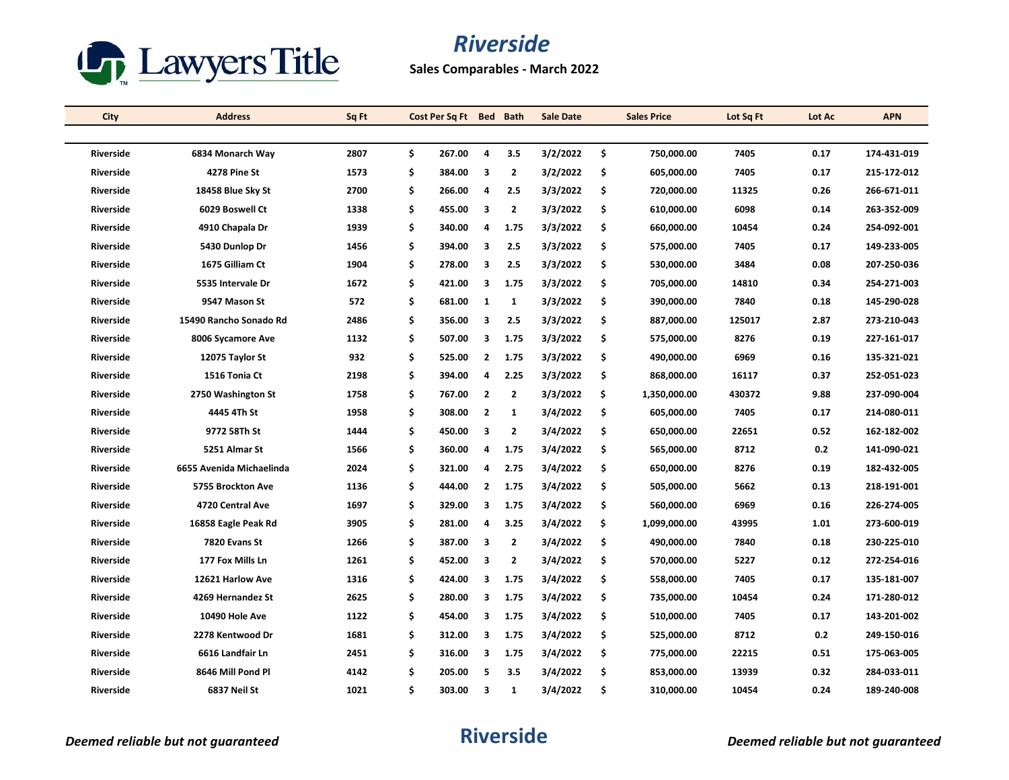

**Sales Comparables - March 2022**

| City             | <b>Address</b>           | Sq Ft | Cost Per Sq Ft Bed Bath |                         |                | <b>Sale Date</b> |     | <b>Sales Price</b> | Lot Sq Ft | Lot Ac | <b>APN</b>  |
|------------------|--------------------------|-------|-------------------------|-------------------------|----------------|------------------|-----|--------------------|-----------|--------|-------------|
|                  |                          |       |                         |                         |                |                  |     |                    |           |        |             |
| <b>Riverside</b> | 6834 Monarch Way         | 2807  | \$<br>267.00            | $\overline{a}$          | 3.5            | 3/2/2022         | \$  | 750.000.00         | 7405      | 0.17   | 174-431-019 |
| Riverside        | <b>4278 Pine St</b>      | 1573  | \$<br>384.00            | - 3                     | $\overline{2}$ | 3/2/2022         | \$. | 605,000.00         | 7405      | 0.17   | 215-172-012 |
| Riverside        | 18458 Blue Sky St        | 2700  | \$<br>266.00            | 4                       | 2.5            | 3/3/2022         | \$  | 720,000.00         | 11325     | 0.26   | 266-671-011 |
| Riverside        | 6029 Boswell Ct          | 1338  | \$<br>455.00            | $\overline{\mathbf{3}}$ | $\overline{2}$ | 3/3/2022         | \$  | 610,000.00         | 6098      | 0.14   | 263-352-009 |
| Riverside        | 4910 Chapala Dr          | 1939  | \$<br>340.00            | 4                       | 1.75           | 3/3/2022         | \$  | 660,000.00         | 10454     | 0.24   | 254-092-001 |
| Riverside        | 5430 Dunlop Dr           | 1456  | \$<br>394.00            | 3                       | 2.5            | 3/3/2022         | \$. | 575,000.00         | 7405      | 0.17   | 149-233-005 |
| <b>Riverside</b> | 1675 Gilliam Ct          | 1904  | \$<br>278.00            | 3                       | 2.5            | 3/3/2022         | \$  | 530,000.00         | 3484      | 0.08   | 207-250-036 |
| <b>Riverside</b> | 5535 Intervale Dr        | 1672  | \$<br>421.00            | 3                       | 1.75           | 3/3/2022         | \$. | 705,000.00         | 14810     | 0.34   | 254-271-003 |
| Riverside        | 9547 Mason St            | 572   | \$<br>681.00            | 1                       | $\mathbf{1}$   | 3/3/2022         | \$  | 390,000.00         | 7840      | 0.18   | 145-290-028 |
| Riverside        | 15490 Rancho Sonado Rd   | 2486  | \$<br>356.00            | 3                       | 2.5            | 3/3/2022         | \$  | 887,000.00         | 125017    | 2.87   | 273-210-043 |
| <b>Riverside</b> | 8006 Sycamore Ave        | 1132  | \$<br>507.00            | 3                       | 1.75           | 3/3/2022         | \$  | 575,000.00         | 8276      | 0.19   | 227 161 017 |
| <b>Riverside</b> | 12075 Taylor St          | 932   | \$<br>525.00            | $\overline{2}$          | 1.75           | 3/3/2022         | \$  | 490,000.00         | 6969      | 0.16   | 135-321-021 |
| Riverside        | 1516 Tonia Ct            | 2198  | \$<br>394.00            | 4                       | 2.25           | 3/3/2022         | \$  | 868,000.00         | 16117     | 0.37   | 252-051-023 |
| Riverside        | 2750 Washington St       | 1758  | \$<br>767.00            | $\overline{2}$          | $\overline{2}$ | 3/3/2022         | \$  | 1,350,000.00       | 430372    | 9.88   | 237-090-004 |
| <b>Riverside</b> | 4445 4Th St              | 1958  | \$<br>308.00            | $\overline{2}$          | $\mathbf{1}$   | 3/4/2022         | \$  | 605,000.00         | 7405      | 0.17   | 214-080-011 |
| Riverside        | 9772 58Th St             | 1444  | \$<br>450.00            | 3                       | $\mathbf{2}$   | 3/4/2022         | \$  | 650,000.00         | 22651     | 0.52   | 162-182-002 |
| Riverside        | 5251 Almar St            | 1566  | \$<br>360.00            | 4                       | 1.75           | 3/4/2022         | \$  | 565,000.00         | 8712      | 0.2    | 141-090-021 |
| <b>Riverside</b> | 6655 Avenida Michaelinda | 2024  | \$<br>321.00            | 4                       | 2.75           | 3/4/2022         | \$. | 650,000.00         | 8276      | 0.19   | 182-432-005 |
| Riverside        | 5755 Brockton Ave        | 1136  | \$<br>444.00            | $\overline{2}$          | 1.75           | 3/4/2022         | \$  | 505,000.00         | 5662      | 0.13   | 218-191-001 |
| Riverside        | 4720 Central Ave         | 1697  | \$<br>329.00            | 3                       | 1.75           | 3/4/2022         | \$. | 560,000.00         | 6969      | 0.16   | 226-274-005 |
| Riverside        | 16858 Eagle Peak Rd      | 3905  | \$<br>281.00            | 4                       | 3.25           | 3/4/2022         | \$  | 1,099,000.00       | 43995     | 1.01   | 273-600-019 |
| Riverside        | 7820 Evans St            | 1266  | \$<br>387.00            | -3                      | $\mathbf{z}$   | 3/4/2022         | \$  | 490,000.00         | 7840      | 0.18   | 230-225-010 |
| <b>Riverside</b> | 177 Fox Mills Ln         | 1261  | \$<br>452.00            | з                       | 2              | 3/4/2022         | \$  | 570,000.00         | 5227      | 0.12   | 272-254-016 |
| Riverside        | 12621 Harlow Ave         | 1316  | \$<br>424.00            | 3                       | 1.75           | 3/4/2022         | \$  | 558,000.00         | 7405      | 0.17   | 135-181-007 |
| <b>Riverside</b> | 4269 Hernandez St        | 2625  | \$<br>280.00            | 3                       | 1.75           | 3/4/2022         | \$  | 735,000.00         | 10454     | 0.24   | 171-280-012 |
| Riverside        | 10490 Hole Ave           | 1122  | \$<br>454.00            | 3                       | 1.75           | 3/4/2022         | \$  | 510,000.00         | 7405      | 0.17   | 143-201-002 |
| Riverside        | 2278 Kentwood Dr         | 1681  | \$<br>312.00            | 3                       | 1.75           | 3/4/2022         | \$. | 525,000.00         | 8712      | 0.2    | 249-150-016 |
| Riverside        | 6616 Landfair Ln         | 2451  | \$<br>316.00            | -3                      | 1.75           | 3/4/2022         | \$  | 775,000.00         | 22215     | 0.51   | 175-063-005 |
| <b>Riverside</b> | 8646 Mill Pond Pl        | 4142  | \$<br>205.00            | 5                       | 3.5            | 3/4/2022         | \$  | 853,000.00         | 13939     | 0.32   | 284-033-011 |
| Riverside        | 6837 Neil St             | 1021  | \$<br>303.00            | 3                       | 1              | 3/4/2022         | \$  | 310,000.00         | 10454     | 0.24   | 189-240-008 |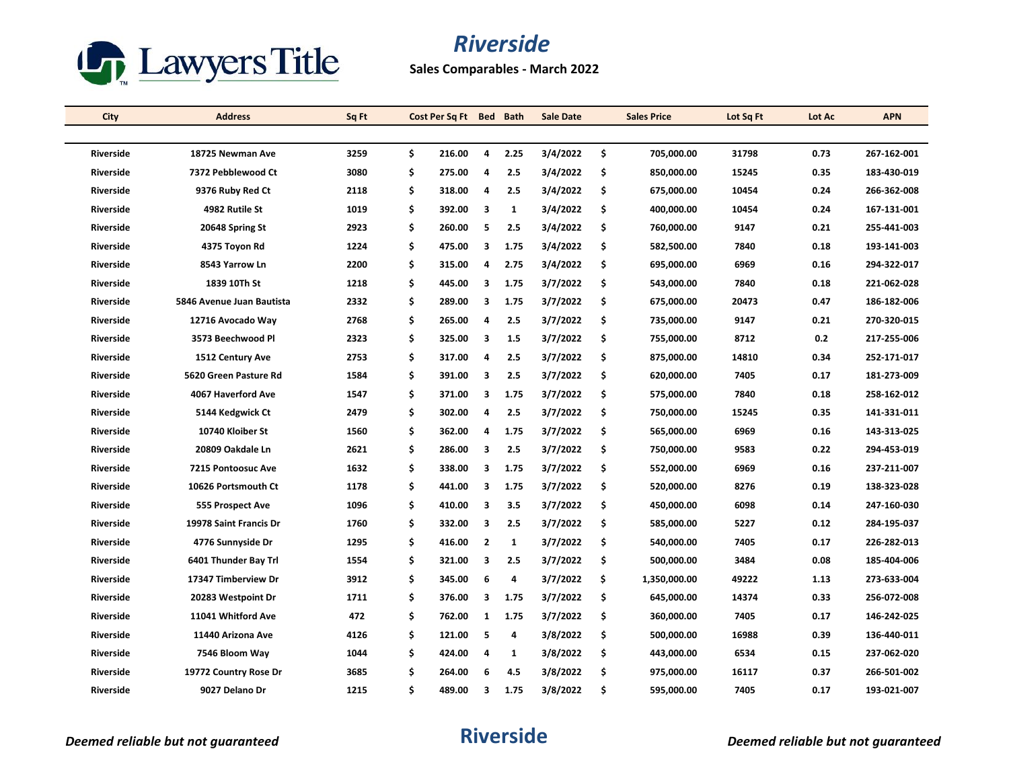

**Sales Comparables - March 2022**

| <b>City</b>      | <b>Address</b>            | Sq Ft |    | Cost Per Sq Ft Bed Bath |                         |              | <b>Sale Date</b> |     | <b>Sales Price</b> | Lot Sq Ft | Lot Ac | <b>APN</b>  |
|------------------|---------------------------|-------|----|-------------------------|-------------------------|--------------|------------------|-----|--------------------|-----------|--------|-------------|
|                  |                           |       |    |                         |                         |              |                  |     |                    |           |        |             |
| <b>Riverside</b> | 18725 Newman Ave          | 3259  | \$ | 216.00                  | 4                       | 2.25         | 3/4/2022         | \$  | 705.000.00         | 31798     | 0.73   | 267-162-001 |
| <b>Riverside</b> | 7372 Pebblewood Ct        | 3080  | \$ | 275.00                  | $\overline{a}$          | 2.5          | 3/4/2022         | \$  | 850,000.00         | 15245     | 0.35   | 183-430-019 |
| Riverside        | 9376 Ruby Red Ct          | 2118  | \$ | 318.00                  | 4                       | 2.5          | 3/4/2022         | \$  | 675,000.00         | 10454     | 0.24   | 266-362-008 |
| Riverside        | 4982 Rutile St            | 1019  | \$ | 392.00                  | $\overline{\mathbf{3}}$ | 1            | 3/4/2022         | \$  | 400,000.00         | 10454     | 0.24   | 167-131-001 |
| Riverside        | 20648 Spring St           | 2923  | \$ | 260.00                  | 5                       | 2.5          | 3/4/2022         | \$  | 760,000.00         | 9147      | 0.21   | 255-441-003 |
| Riverside        | 4375 Toyon Rd             | 1224  | \$ | 475.00                  | 3                       | 1.75         | 3/4/2022         | \$  | 582,500.00         | 7840      | 0.18   | 193-141-003 |
| <b>Riverside</b> | 8543 Yarrow Ln            | 2200  | \$ | 315.00                  | 4                       | 2.75         | 3/4/2022         | \$  | 695,000.00         | 6969      | 0.16   | 294-322-017 |
| <b>Riverside</b> | 1839 10Th St              | 1218  | \$ | 445.00                  | 3                       | 1.75         | 3/7/2022         | \$. | 543,000.00         | 7840      | 0.18   | 221-062-028 |
| Riverside        | 5846 Avenue Juan Bautista | 2332  | \$ | 289.00                  | 3                       | 1.75         | 3/7/2022         | \$  | 675,000.00         | 20473     | 0.47   | 186-182-006 |
| Riverside        | 12716 Avocado Way         | 2768  | \$ | 265.00                  | 4                       | 2.5          | 3/7/2022         | \$  | 735,000.00         | 9147      | 0.21   | 270-320-015 |
| <b>Riverside</b> | 3573 Beechwood Pl         | 2323  | \$ | 325.00                  | 3                       | 1.5          | 3/7/2022         | \$  | 755,000.00         | 8712      | 0.2    | 217-255-006 |
| <b>Riverside</b> | 1512 Century Ave          | 2753  | \$ | 317.00                  | 4                       | 2.5          | 3/7/2022         | \$  | 875,000.00         | 14810     | 0.34   | 252-171-017 |
| Riverside        | 5620 Green Pasture Rd     | 1584  | \$ | 391.00                  | 3                       | 2.5          | 3/7/2022         | \$  | 620,000.00         | 7405      | 0.17   | 181-273-009 |
| Riverside        | 4067 Haverford Ave        | 1547  | \$ | 371.00                  | 3                       | 1.75         | 3/7/2022         | \$  | 575,000.00         | 7840      | 0.18   | 258-162-012 |
| <b>Riverside</b> | 5144 Kedgwick Ct          | 2479  | \$ | 302.00                  | 4                       | 2.5          | 3/7/2022         | \$  | 750,000.00         | 15245     | 0.35   | 141-331-011 |
| Riverside        | 10740 Kloiber St          | 1560  | \$ | 362.00                  | 4                       | 1.75         | 3/7/2022         | \$  | 565,000.00         | 6969      | 0.16   | 143-313-025 |
| <b>Riverside</b> | 20809 Oakdale Ln          | 2621  | \$ | 286.00                  | 3                       | 2.5          | 3/7/2022         | \$  | 750,000.00         | 9583      | 0.22   | 294-453-019 |
| <b>Riverside</b> | 7215 Pontoosuc Ave        | 1632  | \$ | 338.00                  | 3                       | 1.75         | 3/7/2022         | \$  | 552,000.00         | 6969      | 0.16   | 237-211-007 |
| <b>Riverside</b> | 10626 Portsmouth Ct       | 1178  | \$ | 441.00                  | 3                       | 1.75         | 3/7/2022         | \$  | 520,000.00         | 8276      | 0.19   | 138-323-028 |
| <b>Riverside</b> | 555 Prospect Ave          | 1096  | \$ | 410.00                  | 3                       | 3.5          | 3/7/2022         | \$. | 450,000.00         | 6098      | 0.14   | 247-160-030 |
| <b>Riverside</b> | 19978 Saint Francis Dr    | 1760  | \$ | 332.00                  | $\overline{\mathbf{3}}$ | 2.5          | 3/7/2022         | \$  | 585,000.00         | 5227      | 0.12   | 284-195-037 |
| <b>Riverside</b> | 4776 Sunnyside Dr         | 1295  | \$ | 416.00                  | $\overline{2}$          | $\mathbf{1}$ | 3/7/2022         | \$  | 540,000.00         | 7405      | 0.17   | 226-282-013 |
| <b>Riverside</b> | 6401 Thunder Bay Trl      | 1554  | \$ | 321.00                  | з                       | 2.5          | 3/7/2022         | \$  | 500,000.00         | 3484      | 0.08   | 185-404-006 |
| Riverside        | 17347 Timberview Dr       | 3912  | \$ | 345.00                  | 6                       | 4            | 3/7/2022         | \$  | 1,350,000.00       | 49222     | 1.13   | 273-633-004 |
| <b>Riverside</b> | 20283 Westpoint Dr        | 1711  | \$ | 376.00                  | 3                       | 1.75         | 3/7/2022         | \$  | 645,000.00         | 14374     | 0.33   | 256-072-008 |
| <b>Riverside</b> | 11041 Whitford Ave        | 472   | \$ | 762.00                  | $\mathbf{1}$            | 1.75         | 3/7/2022         | \$  | 360,000.00         | 7405      | 0.17   | 146-242-025 |
| Riverside        | 11440 Arizona Ave         | 4126  | \$ | 121.00                  | 5                       | 4            | 3/8/2022         | \$. | 500,000.00         | 16988     | 0.39   | 136-440-011 |
| Riverside        | 7546 Bloom Way            | 1044  | \$ | 424.00                  | $\overline{a}$          | $\mathbf{1}$ | 3/8/2022         | \$  | 443,000.00         | 6534      | 0.15   | 237-062-020 |
| <b>Riverside</b> | 19772 Country Rose Dr     | 3685  | \$ | 264.00                  | 6                       | 4.5          | 3/8/2022         | \$  | 975,000.00         | 16117     | 0.37   | 266-501-002 |
| Riverside        | 9027 Delano Dr            | 1215  | Ś  | 489.00                  | 3                       | 1.75         | 3/8/2022         | \$  | 595,000.00         | 7405      | 0.17   | 193-021-007 |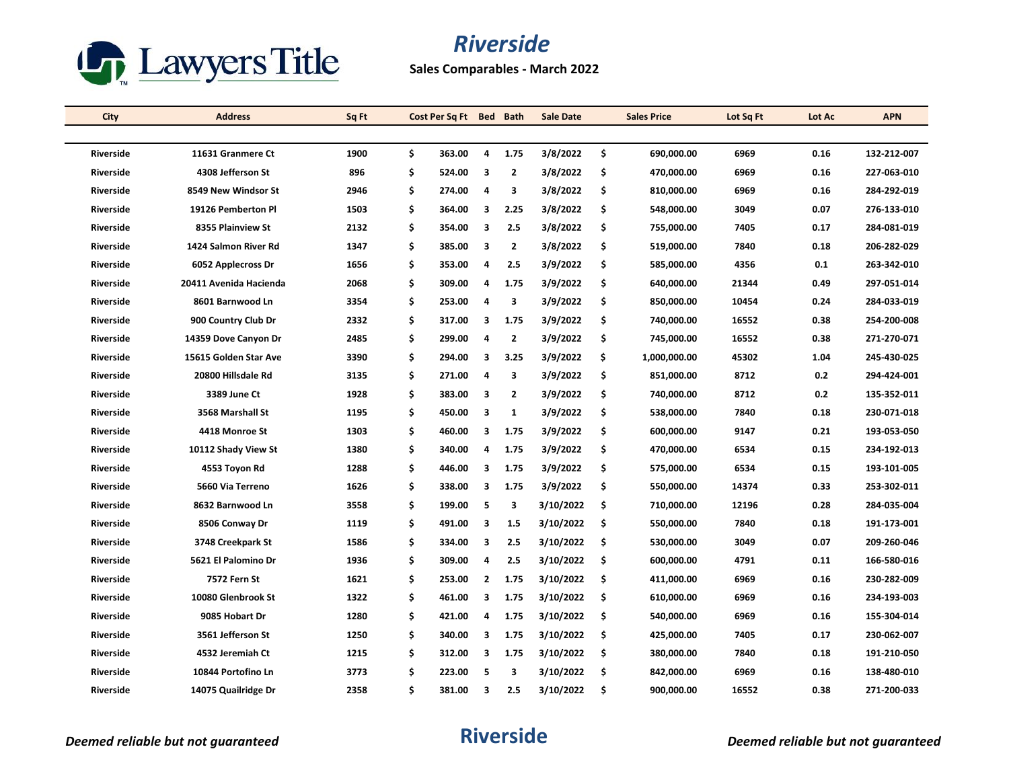

**Sales Comparables - March 2022**

| City             | <b>Address</b>         | Sq Ft | Cost Per Sq Ft Bed Bath |                |                | <b>Sale Date</b> |     | <b>Sales Price</b> | Lot Sq Ft | Lot Ac | <b>APN</b>  |
|------------------|------------------------|-------|-------------------------|----------------|----------------|------------------|-----|--------------------|-----------|--------|-------------|
|                  |                        |       |                         |                |                |                  |     |                    |           |        |             |
| <b>Riverside</b> | 11631 Granmere Ct      | 1900  | \$<br>363.00            | 4              | 1.75           | 3/8/2022         | \$  | 690.000.00         | 6969      | 0.16   | 132-212-007 |
| <b>Riverside</b> | 4308 Jefferson St      | 896   | \$<br>524.00            | 3              | $\overline{2}$ | 3/8/2022         | \$  | 470,000.00         | 6969      | 0.16   | 227-063-010 |
| <b>Riverside</b> | 8549 New Windsor St    | 2946  | \$<br>274.00            | 4              | 3              | 3/8/2022         | \$  | 810,000.00         | 6969      | 0.16   | 284-292-019 |
| <b>Riverside</b> | 19126 Pemberton Pl     | 1503  | \$<br>364.00            | 3              | 2.25           | 3/8/2022         | \$  | 548,000.00         | 3049      | 0.07   | 276-133-010 |
| <b>Riverside</b> | 8355 Plainview St      | 2132  | \$<br>354.00            | 3              | 2.5            | 3/8/2022         | \$  | 755,000.00         | 7405      | 0.17   | 284-081-019 |
| <b>Riverside</b> | 1424 Salmon River Rd   | 1347  | \$<br>385.00            | 3              | $\mathbf{2}$   | 3/8/2022         | \$  | 519,000.00         | 7840      | 0.18   | 206-282-029 |
| <b>Riverside</b> | 6052 Applecross Dr     | 1656  | \$<br>353.00            | 4              | 2.5            | 3/9/2022         | \$  | 585,000.00         | 4356      | 0.1    | 263-342-010 |
| <b>Riverside</b> | 20411 Avenida Hacienda | 2068  | \$<br>309.00            | 4              | 1.75           | 3/9/2022         | \$  | 640,000.00         | 21344     | 0.49   | 297-051-014 |
| <b>Riverside</b> | 8601 Barnwood Ln       | 3354  | \$<br>253.00            | 4              | 3              | 3/9/2022         | \$  | 850,000.00         | 10454     | 0.24   | 284-033-019 |
| <b>Riverside</b> | 900 Country Club Dr    | 2332  | \$<br>317.00            | 3              | 1.75           | 3/9/2022         | \$  | 740,000.00         | 16552     | 0.38   | 254-200-008 |
| <b>Riverside</b> | 14359 Dove Canyon Dr   | 2485  | \$<br>299.00            | 4              | $\overline{2}$ | 3/9/2022         | \$  | 745,000.00         | 16552     | 0.38   | 271-270-071 |
| <b>Riverside</b> | 15615 Golden Star Ave  | 3390  | \$<br>294.00            | 3              | 3.25           | 3/9/2022         | \$  | 1,000,000.00       | 45302     | 1.04   | 245-430-025 |
| <b>Riverside</b> | 20800 Hillsdale Rd     | 3135  | \$<br>271.00            | 4              | 3              | 3/9/2022         | \$. | 851,000.00         | 8712      | 0.2    | 294-424-001 |
| Riverside        | 3389 June Ct           | 1928  | \$<br>383.00            | 3              | $\overline{2}$ | 3/9/2022         | \$  | 740,000.00         | 8712      | 0.2    | 135-352-011 |
| <b>Riverside</b> | 3568 Marshall St       | 1195  | \$<br>450.00            | 3              | $\mathbf{1}$   | 3/9/2022         | \$  | 538,000.00         | 7840      | 0.18   | 230-071-018 |
| <b>Riverside</b> | 4418 Monroe St         | 1303  | \$<br>460.00            | 3              | 1.75           | 3/9/2022         | \$  | 600,000.00         | 9147      | 0.21   | 193-053-050 |
| <b>Riverside</b> | 10112 Shady View St    | 1380  | \$<br>340.00            | 4              | 1.75           | 3/9/2022         | \$  | 470,000.00         | 6534      | 0.15   | 234-192-013 |
| <b>Riverside</b> | 4553 Toyon Rd          | 1288  | \$<br>446.00            | 3              | 1.75           | 3/9/2022         | \$  | 575,000.00         | 6534      | 0.15   | 193-101-005 |
| <b>Riverside</b> | 5660 Via Terreno       | 1626  | \$<br>338.00            | 3              | 1.75           | 3/9/2022         | \$  | 550,000.00         | 14374     | 0.33   | 253-302-011 |
| <b>Riverside</b> | 8632 Barnwood Ln       | 3558  | \$<br>199.00            | 5              | 3              | 3/10/2022        | \$. | 710,000.00         | 12196     | 0.28   | 284-035-004 |
| <b>Riverside</b> | 8506 Conway Dr         | 1119  | \$<br>491.00            | 3              | 1.5            | 3/10/2022        | \$  | 550,000.00         | 7840      | 0.18   | 191-173-001 |
| <b>Riverside</b> | 3748 Creekpark St      | 1586  | \$<br>334.00            | 3              | 2.5            | 3/10/2022        | \$  | 530,000.00         | 3049      | 0.07   | 209-260-046 |
| <b>Riverside</b> | 5621 El Palomino Dr    | 1936  | \$<br>309.00            | 4              | 2.5            | 3/10/2022        | \$  | 600,000.00         | 4791      | 0.11   | 166-580-016 |
| <b>Riverside</b> | 7572 Fern St           | 1621  | \$<br>253.00            | $\overline{2}$ | 1.75           | 3/10/2022        | \$  | 411,000.00         | 6969      | 0.16   | 230-282-009 |
| <b>Riverside</b> | 10080 Glenbrook St     | 1322  | \$<br>461.00            | 3              | 1.75           | 3/10/2022        | \$  | 610,000.00         | 6969      | 0.16   | 234-193-003 |
| <b>Riverside</b> | 9085 Hobart Dr         | 1280  | \$<br>421.00            | 4              | 1.75           | 3/10/2022        | \$  | 540,000.00         | 6969      | 0.16   | 155-304-014 |
| <b>Riverside</b> | 3561 Jefferson St      | 1250  | \$<br>340.00            | 3              | 1.75           | 3/10/2022        | Ŝ.  | 425,000.00         | 7405      | 0.17   | 230-062-007 |
| <b>Riverside</b> | 4532 Jeremiah Ct       | 1215  | \$<br>312.00            | 3              | 1.75           | 3/10/2022        | \$  | 380,000.00         | 7840      | 0.18   | 191-210-050 |
| <b>Riverside</b> | 10844 Portofino Ln     | 3773  | \$<br>223.00            | 5              | 3              | 3/10/2022        | \$  | 842,000.00         | 6969      | 0.16   | 138-480-010 |
| <b>Riverside</b> | 14075 Quailridge Dr    | 2358  | \$<br>381.00            | 3              | 2.5            | 3/10/2022        | \$  | 900,000.00         | 16552     | 0.38   | 271-200-033 |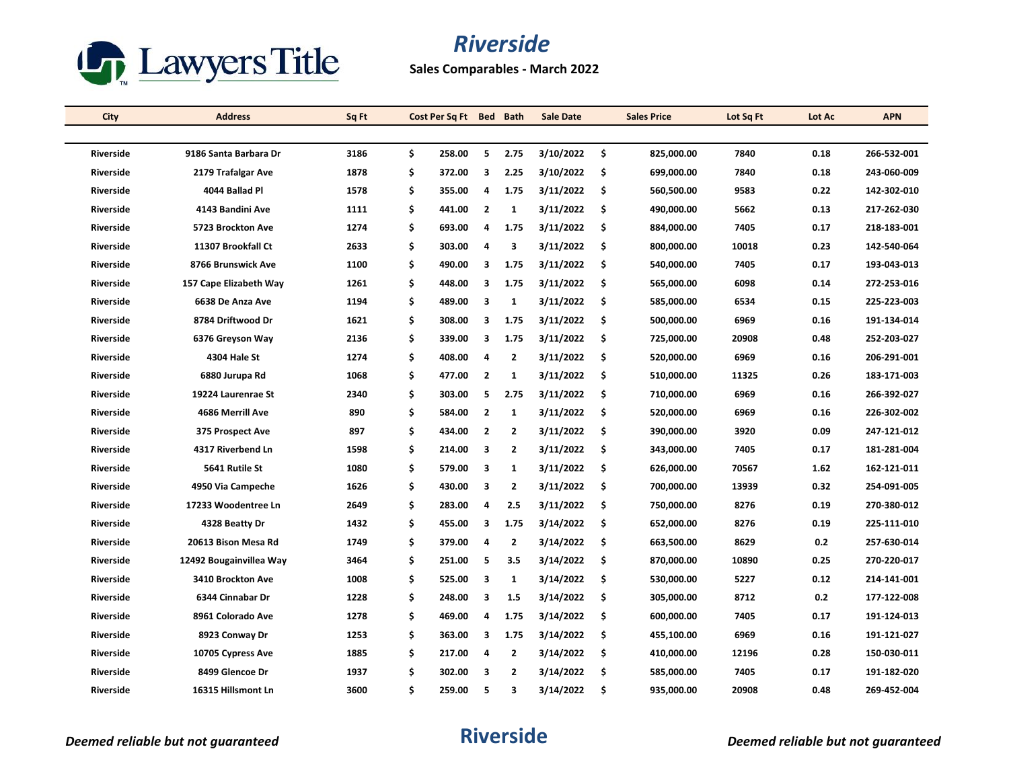

**Sales Comparables - March 2022**

| City             | <b>Address</b>          | Sq Ft |    | Cost Per Sq Ft Bed Bath |                         |                | <b>Sale Date</b> |     | <b>Sales Price</b> | Lot Sq Ft | Lot Ac | <b>APN</b>  |
|------------------|-------------------------|-------|----|-------------------------|-------------------------|----------------|------------------|-----|--------------------|-----------|--------|-------------|
|                  |                         |       |    |                         |                         |                |                  |     |                    |           |        |             |
| <b>Riverside</b> | 9186 Santa Barbara Dr   | 3186  | \$ | 258.00                  | 5                       | 2.75           | 3/10/2022        | Ŝ.  | 825.000.00         | 7840      | 0.18   | 266-532-001 |
| Riverside        | 2179 Trafalgar Ave      | 1878  | \$ | 372.00                  | 3                       | 2.25           | 3/10/2022        | -\$ | 699,000.00         | 7840      | 0.18   | 243-060-009 |
| <b>Riverside</b> | 4044 Ballad Pl          | 1578  | \$ | 355.00                  | 4                       | 1.75           | 3/11/2022        | -\$ | 560,500.00         | 9583      | 0.22   | 142-302-010 |
| <b>Riverside</b> | 4143 Bandini Ave        | 1111  | \$ | 441.00                  | $\overline{2}$          | $\mathbf{1}$   | 3/11/2022        | \$  | 490,000.00         | 5662      | 0.13   | 217-262-030 |
| <b>Riverside</b> | 5723 Brockton Ave       | 1274  | \$ | 693.00                  | 4                       | 1.75           | 3/11/2022        | -\$ | 884,000.00         | 7405      | 0.17   | 218-183-001 |
| <b>Riverside</b> | 11307 Brookfall Ct      | 2633  | \$ | 303.00                  | $\overline{a}$          | 3              | 3/11/2022        | \$  | 800,000.00         | 10018     | 0.23   | 142-540-064 |
| <b>Riverside</b> | 8766 Brunswick Ave      | 1100  | \$ | 490.00                  | 3                       | 1.75           | 3/11/2022        | \$  | 540,000.00         | 7405      | 0.17   | 193-043-013 |
| <b>Riverside</b> | 157 Cape Elizabeth Way  | 1261  | \$ | 448.00                  | 3                       | 1.75           | 3/11/2022        | \$  | 565,000.00         | 6098      | 0.14   | 272 253 016 |
| Riverside        | 6638 De Anza Ave        | 1194  | \$ | 489.00                  | 3                       | $\mathbf{1}$   | 3/11/2022        | \$  | 585,000.00         | 6534      | 0.15   | 225-223-003 |
| <b>Riverside</b> | 8784 Driftwood Dr       | 1621  | \$ | 308.00                  | 3                       | 1.75           | 3/11/2022        | \$. | 500,000.00         | 6969      | 0.16   | 191-134-014 |
| Riverside        | 6376 Greyson Way        | 2136  | \$ | 339.00                  | 3                       | 1.75           | 3/11/2022        | \$  | 725,000.00         | 20908     | 0.48   | 252-203-027 |
| <b>Riverside</b> | 4304 Hale St            | 1274  | \$ | 408.00                  | 4                       | 2              | 3/11/2022        | \$  | 520,000.00         | 6969      | 0.16   | 206-291-001 |
| <b>Riverside</b> | 6880 Jurupa Rd          | 1068  | \$ | 477.00                  | $\overline{2}$          | $\mathbf{1}$   | 3/11/2022        | \$  | 510,000.00         | 11325     | 0.26   | 183-171-003 |
| <b>Riverside</b> | 19224 Laurenrae St      | 2340  | \$ | 303.00                  | 5                       | 2.75           | 3/11/2022        | -\$ | 710.000.00         | 6969      | 0.16   | 266-392-027 |
| <b>Riverside</b> | 4686 Merrill Ave        | 890   | \$ | 584.00                  | $\overline{2}$          | $\mathbf{1}$   | 3/11/2022        | Ŝ.  | 520,000.00         | 6969      | 0.16   | 226-302-002 |
| Riverside        | 375 Prospect Ave        | 897   | \$ | 434.00                  | $\overline{2}$          | 2              | 3/11/2022        | \$  | 390,000.00         | 3920      | 0.09   | 247-121-012 |
| Riverside        | 4317 Riverbend Ln       | 1598  | \$ | 214.00                  | $\overline{\mathbf{3}}$ | $\overline{2}$ | 3/11/2022        | -\$ | 343,000.00         | 7405      | 0.17   | 181-281-004 |
| <b>Riverside</b> | 5641 Rutile St          | 1080  | \$ | 579.00                  | 3                       | $\mathbf{1}$   | 3/11/2022        | \$  | 626,000.00         | 70567     | 1.62   | 162-121-011 |
| <b>Riverside</b> | 4950 Via Campeche       | 1626  | \$ | 430.00                  | 3                       | $\overline{2}$ | 3/11/2022        | -\$ | 700,000.00         | 13939     | 0.32   | 254-091-005 |
| <b>Riverside</b> | 17233 Woodentree Ln     | 2649  | \$ | 283.00                  | 4                       | 2.5            | 3/11/2022        | -\$ | 750,000.00         | 8276      | 0.19   | 270-380-012 |
| Riverside        | 4328 Beatty Dr          | 1432  | \$ | 455.00                  | 3                       | 1.75           | 3/14/2022        | -\$ | 652,000.00         | 8276      | 0.19   | 225-111-010 |
| Riverside        | 20613 Bison Mesa Rd     | 1749  | \$ | 379.00                  | $\overline{a}$          | 2              | 3/14/2022        | -\$ | 663,500.00         | 8629      | 0.2    | 257-630-014 |
| <b>Riverside</b> | 12492 Bougainvillea Way | 3464  | \$ | 251.00                  | 5                       | 3.5            | 3/14/2022        | -\$ | 870,000.00         | 10890     | 0.25   | 270-220-017 |
| <b>Riverside</b> | 3410 Brockton Ave       | 1008  | \$ | 525.00                  | 3                       | $\mathbf{1}$   | 3/14/2022        | \$  | 530,000.00         | 5227      | 0.12   | 214-141-001 |
| <b>Riverside</b> | 6344 Cinnabar Dr        | 1228  | \$ | 248.00                  | 3                       | 1.5            | 3/14/2022        | \$  | 305,000.00         | 8712      | 0.2    | 177-122-008 |
| <b>Riverside</b> | 8961 Colorado Ave       | 1278  | \$ | 469.00                  | 4                       | 1.75           | 3/14/2022        | -\$ | 600,000.00         | 7405      | 0.17   | 191-124-013 |
| Riverside        | 8923 Conway Dr          | 1253  | \$ | 363.00                  | 3                       | 1.75           | 3/14/2022        | \$  | 455,100.00         | 6969      | 0.16   | 191-121-027 |
| <b>Riverside</b> | 10705 Cypress Ave       | 1885  | \$ | 217.00                  | 4                       | 2              | 3/14/2022        | -\$ | 410,000.00         | 12196     | 0.28   | 150-030-011 |
| <b>Riverside</b> | 8499 Glencoe Dr         | 1937  | \$ | 302.00                  | 3                       | $\overline{2}$ | 3/14/2022        | \$  | 585,000.00         | 7405      | 0.17   | 191-182-020 |
| <b>Riverside</b> | 16315 Hillsmont Ln      | 3600  | Ś. | 259.00                  | 5                       | 3              | 3/14/2022        | \$. | 935,000.00         | 20908     | 0.48   | 269-452-004 |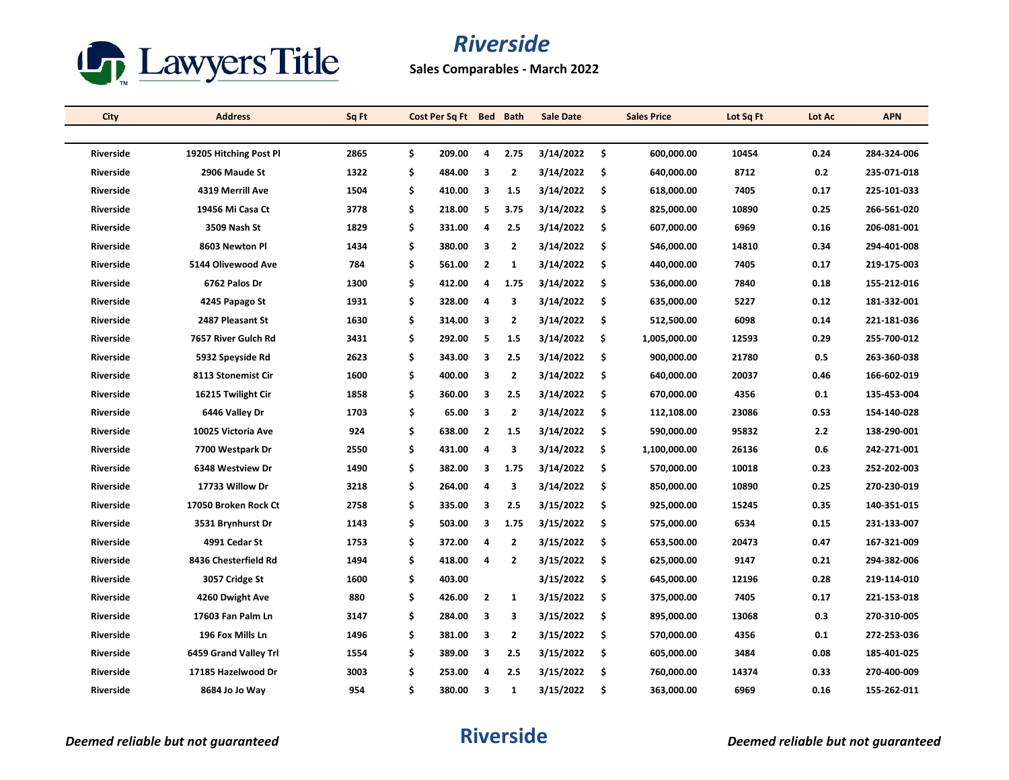

**Sales Comparables - March 2022**

| City             | <b>Address</b>         | Sq Ft | Cost Per Sq Ft Bed Bath |                         |                | <b>Sale Date</b> |     | <b>Sales Price</b> | Lot Sq Ft | Lot Ac | <b>APN</b>  |
|------------------|------------------------|-------|-------------------------|-------------------------|----------------|------------------|-----|--------------------|-----------|--------|-------------|
|                  |                        |       |                         |                         |                |                  |     |                    |           |        |             |
| <b>Riverside</b> | 19205 Hitching Post Pl | 2865  | \$<br>209.00            | 4                       | 2.75           | 3/14/2022        | Ŝ.  | 600.000.00         | 10454     | 0.24   | 284-324-006 |
| Riverside        | 2906 Maude St          | 1322  | \$<br>484.00            | 3                       | $\overline{2}$ | 3/14/2022        | -\$ | 640,000.00         | 8712      | 0.2    | 235-071-018 |
| Riverside        | 4319 Merrill Ave       | 1504  | \$<br>410.00            | -3                      | 1.5            | 3/14/2022        | \$  | 618,000.00         | 7405      | 0.17   | 225-101-033 |
| <b>Riverside</b> | 19456 Mi Casa Ct       | 3778  | \$<br>218.00            | 5                       | 3.75           | 3/14/2022        | \$. | 825,000.00         | 10890     | 0.25   | 266-561-020 |
| <b>Riverside</b> | 3509 Nash St           | 1829  | \$<br>331.00            | 4                       | 2.5            | 3/14/2022        | -\$ | 607,000.00         | 6969      | 0.16   | 206-081-001 |
| Riverside        | 8603 Newton Pl         | 1434  | \$<br>380.00            | 3                       | $\overline{2}$ | 3/14/2022        | -\$ | 546,000.00         | 14810     | 0.34   | 294-401-008 |
| <b>Riverside</b> | 5144 Olivewood Ave     | 784   | \$<br>561.00            | $\overline{2}$          | $\mathbf{1}$   | 3/14/2022        | \$  | 440,000.00         | 7405      | 0.17   | 219-175-003 |
| <b>Riverside</b> | 6762 Palos Dr          | 1300  | \$<br>412.00            | 4                       | 1.75           | 3/14/2022        | Ŝ.  | 536,000.00         | 7840      | 0.18   | 155-212-016 |
| Riverside        | 4245 Papago St         | 1931  | \$<br>328.00            | $\overline{a}$          | 3              | 3/14/2022        | \$  | 635,000.00         | 5227      | 0.12   | 181-332-001 |
| <b>Riverside</b> | 2487 Pleasant St       | 1630  | \$<br>314.00            | 3                       | $\overline{2}$ | 3/14/2022        | \$  | 512,500.00         | 6098      | 0.14   | 221-181-036 |
| <b>Riverside</b> | 7657 River Gulch Rd    | 3431  | \$<br>292.00            | -5                      | 1.5            | 3/14/2022        | \$. | 1,005,000.00       | 12593     | 0.29   | 255-700-012 |
| <b>Riverside</b> | 5932 Speyside Rd       | 2623  | \$<br>343.00            | 3                       | 2.5            | 3/14/2022        | \$  | 900,000.00         | 21780     | 0.5    | 263-360-038 |
| Riverside        | 8113 Stonemist Cir     | 1600  | \$<br>400.00            | 3                       | $\overline{2}$ | 3/14/2022        | \$. | 640,000.00         | 20037     | 0.46   | 166-602-019 |
| Riverside        | 16215 Twilight Cir     | 1858  | \$<br>360.00            | $\overline{\mathbf{3}}$ | 2.5            | 3/14/2022        | -\$ | 670,000.00         | 4356      | 0.1    | 135-453-004 |
| <b>Riverside</b> | 6446 Valley Dr         | 1703  | \$<br>65.00             | 3                       | 2              | 3/14/2022        | \$  | 112,108.00         | 23086     | 0.53   | 154-140-028 |
| Riverside        | 10025 Victoria Ave     | 924   | \$<br>638.00            | $\overline{2}$          | 1.5            | 3/14/2022        | \$  | 590,000.00         | 95832     | 2.2    | 138-290-001 |
| Riverside        | 7700 Westpark Dr       | 2550  | \$<br>431.00            | 4                       | 3              | 3/14/2022        | -\$ | 1,100,000.00       | 26136     | 0.6    | 242-271-001 |
| <b>Riverside</b> | 6348 Westview Dr       | 1490  | \$<br>382.00            | 3                       | 1.75           | 3/14/2022        | \$. | 570,000.00         | 10018     | 0.23   | 252-202-003 |
| <b>Riverside</b> | 17733 Willow Dr        | 3218  | \$<br>264.00            | $\overline{a}$          | 3              | 3/14/2022        | \$  | 850,000.00         | 10890     | 0.25   | 270-230-019 |
| <b>Riverside</b> | 17050 Broken Rock Ct   | 2758  | \$<br>335.00            | 3                       | 2.5            | 3/15/2022        | -\$ | 925,000.00         | 15245     | 0.35   | 140-351-015 |
| <b>Riverside</b> | 3531 Brynhurst Dr      | 1143  | \$<br>503.00            | 3                       | 1.75           | 3/15/2022        | -\$ | 575,000.00         | 6534      | 0.15   | 231-133-007 |
| Riverside        | 4991 Cedar St          | 1753  | \$<br>372.00            | 4                       | 2              | 3/15/2022        | \$  | 653,500.00         | 20473     | 0.47   | 167-321-009 |
| <b>Riverside</b> | 8436 Chesterfield Rd   | 1494  | \$<br>418.00            | 4                       | 2              | 3/15/2022        | \$  | 625,000.00         | 9147      | 0.21   | 294-382-006 |
| Riverside        | 3057 Cridge St         | 1600  | \$<br>403.00            |                         |                | 3/15/2022        | \$  | 645,000.00         | 12196     | 0.28   | 219-114-010 |
| <b>Riverside</b> | 4260 Dwight Ave        | 880   | \$<br>426.00            | $\overline{2}$          | $\mathbf{1}$   | 3/15/2022        | -\$ | 375,000.00         | 7405      | 0.17   | 221-153-018 |
| <b>Riverside</b> | 17603 Fan Palm Ln      | 3147  | \$<br>284.00            | 3                       | 3              | 3/15/2022        | \$  | 895,000.00         | 13068     | 0.3    | 270-310-005 |
| Riverside        | 196 Fox Mills Ln       | 1496  | \$<br>381.00            | - 3                     | $\overline{2}$ | 3/15/2022        | -\$ | 570,000.00         | 4356      | 0.1    | 272-253-036 |
| Riverside        | 6459 Grand Valley Trl  | 1554  | \$<br>389.00            | $\overline{\mathbf{3}}$ | 2.5            | 3/15/2022        | -\$ | 605,000.00         | 3484      | 0.08   | 185-401-025 |
| <b>Riverside</b> | 17185 Hazelwood Dr     | 3003  | \$<br>253.00            | 4                       | 2.5            | 3/15/2022        | \$  | 760,000.00         | 14374     | 0.33   | 270-400-009 |
| <b>Riverside</b> | 8684 Jo Jo Way         | 954   | \$<br>380.00            | 3                       | 1              | 3/15/2022        | \$. | 363,000.00         | 6969      | 0.16   | 155-262-011 |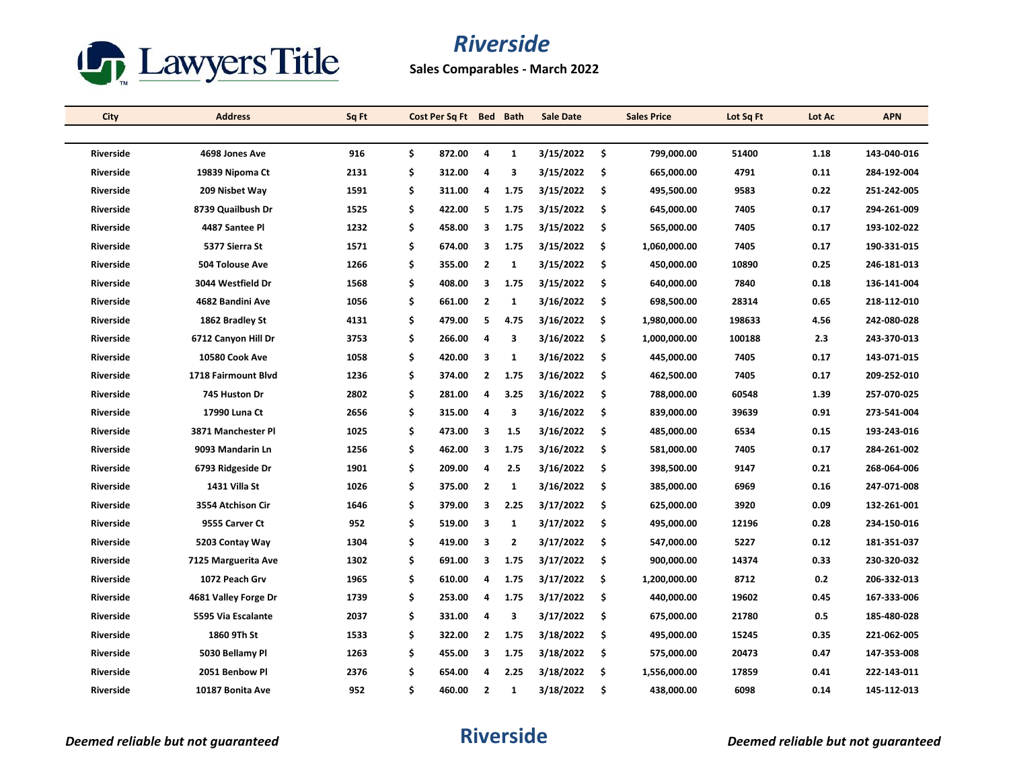

**Sales Comparables - March 2022**

| City             | <b>Address</b>       | Sq Ft | Cost Per Sq Ft Bed Bath |                         |              | <b>Sale Date</b> |     | <b>Sales Price</b> | Lot Sq Ft | Lot Ac | <b>APN</b>  |
|------------------|----------------------|-------|-------------------------|-------------------------|--------------|------------------|-----|--------------------|-----------|--------|-------------|
|                  |                      |       |                         |                         |              |                  |     |                    |           |        |             |
| <b>Riverside</b> | 4698 Jones Ave       | 916   | \$<br>872.00            | 4                       | $\mathbf{1}$ | 3/15/2022        | \$  | 799.000.00         | 51400     | 1.18   | 143-040-016 |
| <b>Riverside</b> | 19839 Nipoma Ct      | 2131  | \$<br>312.00            | 4                       | 3            | 3/15/2022        | \$  | 665,000.00         | 4791      | 0.11   | 284-192-004 |
| Riverside        | 209 Nisbet Way       | 1591  | \$<br>311.00            | 4                       | 1.75         | 3/15/2022        | -\$ | 495,500.00         | 9583      | 0.22   | 251-242-005 |
| <b>Riverside</b> | 8739 Quailbush Dr    | 1525  | \$<br>422.00            | 5                       | 1.75         | 3/15/2022        | \$  | 645,000.00         | 7405      | 0.17   | 294-261-009 |
| Riverside        | 4487 Santee Pl       | 1232  | \$<br>458.00            | 3                       | 1.75         | 3/15/2022        | -\$ | 565,000.00         | 7405      | 0.17   | 193-102-022 |
| Riverside        | 5377 Sierra St       | 1571  | \$<br>674.00            | 3                       | 1.75         | 3/15/2022        | \$. | 1,060,000.00       | 7405      | 0.17   | 190-331-015 |
| <b>Riverside</b> | 504 Tolouse Ave      | 1266  | \$<br>355.00            | $\overline{2}$          | $\mathbf{1}$ | 3/15/2022        | \$  | 450,000.00         | 10890     | 0.25   | 246-181-013 |
| <b>Riverside</b> | 3044 Westfield Dr    | 1568  | \$<br>408.00            | 3                       | 1.75         | 3/15/2022        | \$. | 640,000.00         | 7840      | 0.18   | 136-141-004 |
| Riverside        | 4682 Bandini Ave     | 1056  | \$<br>661.00            | $\overline{2}$          | 1            | 3/16/2022        | \$  | 698,500.00         | 28314     | 0.65   | 218-112-010 |
| Riverside        | 1862 Bradley St      | 4131  | \$<br>479.00            | 5                       | 4.75         | 3/16/2022        | \$  | 1,980,000.00       | 198633    | 4.56   | 242-080-028 |
| <b>Riverside</b> | 6712 Canyon Hill Dr  | 3753  | \$<br>266.00            | 4                       | 3            | 3/16/2022        | -\$ | 1,000,000.00       | 100188    | 2.3    | 243-370-013 |
| <b>Riverside</b> | 10580 Cook Ave       | 1058  | \$<br>420.00            | 3                       | $\mathbf{1}$ | 3/16/2022        | \$  | 445,000.00         | 7405      | 0.17   | 143-071-015 |
| <b>Riverside</b> | 1718 Fairmount Blvd  | 1236  | \$<br>374.00            | $\overline{2}$          | 1.75         | 3/16/2022        | \$. | 462,500.00         | 7405      | 0.17   | 209-252-010 |
| Riverside        | 745 Huston Dr        | 2802  | \$<br>281.00            | 4                       | 3.25         | 3/16/2022        | -\$ | 788,000.00         | 60548     | 1.39   | 257-070-025 |
| <b>Riverside</b> | 17990 Luna Ct        | 2656  | \$<br>315.00            | 4                       | 3            | 3/16/2022        | \$  | 839,000.00         | 39639     | 0.91   | 273-541-004 |
| Riverside        | 3871 Manchester Pl   | 1025  | \$<br>473.00            | 3                       | 1.5          | 3/16/2022        | \$  | 485,000.00         | 6534      | 0.15   | 193-243-016 |
| Riverside        | 9093 Mandarin Ln     | 1256  | \$<br>462.00            | 3                       | 1.75         | 3/16/2022        | -\$ | 581,000.00         | 7405      | 0.17   | 284-261-002 |
| <b>Riverside</b> | 6793 Ridgeside Dr    | 1901  | \$<br>209.00            | 4                       | 2.5          | 3/16/2022        | \$  | 398,500.00         | 9147      | 0.21   | 268-064-006 |
| <b>Riverside</b> | 1431 Villa St        | 1026  | \$<br>375.00            | $\overline{2}$          | $\mathbf{1}$ | 3/16/2022        | \$  | 385,000.00         | 6969      | 0.16   | 247-071-008 |
| <b>Riverside</b> | 3554 Atchison Cir    | 1646  | \$<br>379.00            | 3                       | 2.25         | 3/17/2022        | -\$ | 625,000.00         | 3920      | 0.09   | 132-261-001 |
| <b>Riverside</b> | 9555 Carver Ct       | 952   | \$<br>519.00            | $\overline{\mathbf{3}}$ | $\mathbf{1}$ | 3/17/2022        | -\$ | 495,000.00         | 12196     | 0.28   | 234-150-016 |
| <b>Riverside</b> | 5203 Contay Way      | 1304  | \$<br>419.00            | 3                       | $\mathbf{2}$ | 3/17/2022        | \$  | 547,000.00         | 5227      | 0.12   | 181-351-037 |
| <b>Riverside</b> | 7125 Marguerita Ave  | 1302  | \$<br>691.00            | 3                       | 1.75         | 3/17/2022        | \$  | 900,000.00         | 14374     | 0.33   | 230-320-032 |
| Riverside        | 1072 Peach Grv       | 1965  | \$<br>610.00            | 4                       | 1.75         | 3/17/2022        | \$  | 1,200,000.00       | 8712      | 0.2    | 206-332-013 |
| <b>Riverside</b> | 4681 Valley Forge Dr | 1739  | \$<br>253.00            | 4                       | 1.75         | 3/17/2022        | \$. | 440,000.00         | 19602     | 0.45   | 167-333-006 |
| <b>Riverside</b> | 5595 Via Escalante   | 2037  | \$<br>331.00            | 4                       | 3            | 3/17/2022        | -\$ | 675,000.00         | 21780     | 0.5    | 185-480-028 |
| Riverside        | 1860 9Th St          | 1533  | \$<br>322.00            | $\overline{2}$          | 1.75         | 3/18/2022        | \$. | 495,000.00         | 15245     | 0.35   | 221-062-005 |
| Riverside        | 5030 Bellamy Pl      | 1263  | \$<br>455.00            | 3                       | 1.75         | 3/18/2022        | \$  | 575,000.00         | 20473     | 0.47   | 147-353-008 |
| <b>Riverside</b> | 2051 Benbow Pl       | 2376  | \$<br>654.00            | 4                       | 2.25         | 3/18/2022        | \$  | 1,556,000.00       | 17859     | 0.41   | 222-143-011 |
| <b>Riverside</b> | 10187 Bonita Ave     | 952   | \$<br>460.00            | $\overline{2}$          | 1            | 3/18/2022        | \$  | 438,000.00         | 6098      | 0.14   | 145-112-013 |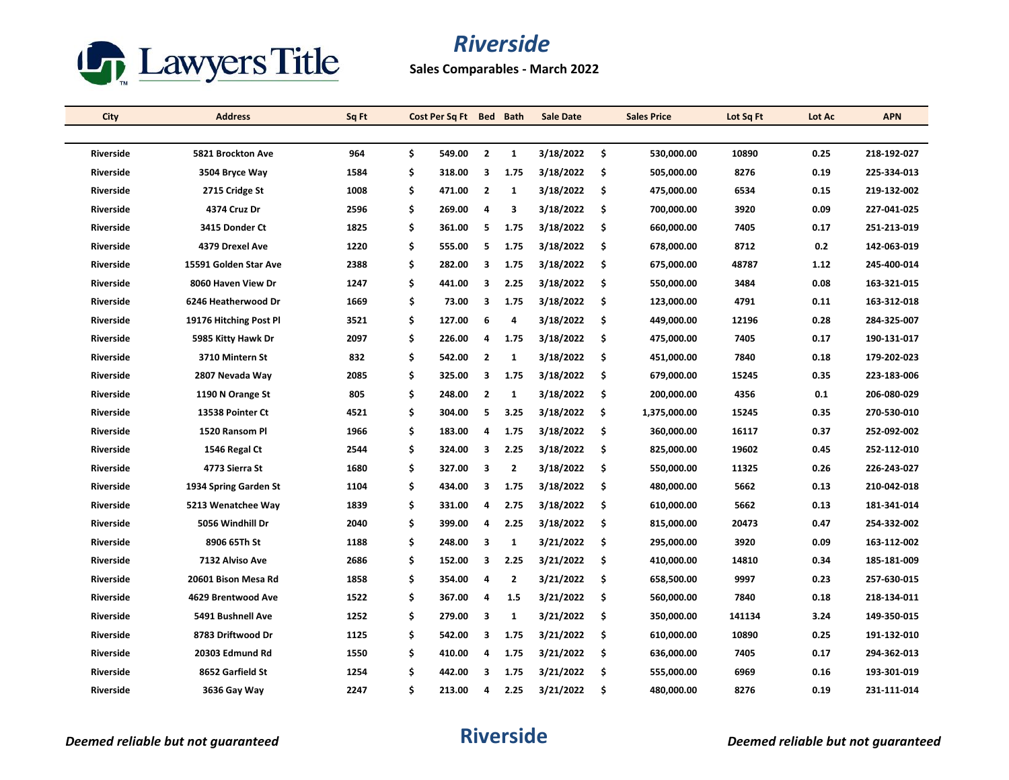

**Sales Comparables - March 2022**

| City             | <b>Address</b>         | Sq Ft | Cost Per Sq Ft Bed Bath |                |                | <b>Sale Date</b> |     | <b>Sales Price</b> | Lot Sq Ft | Lot Ac | <b>APN</b>  |
|------------------|------------------------|-------|-------------------------|----------------|----------------|------------------|-----|--------------------|-----------|--------|-------------|
|                  |                        |       |                         |                |                |                  |     |                    |           |        |             |
| <b>Riverside</b> | 5821 Brockton Ave      | 964   | \$<br>549.00            | $\overline{2}$ | $\mathbf{1}$   | 3/18/2022        | \$  | 530.000.00         | 10890     | 0.25   | 218-192-027 |
| <b>Riverside</b> | 3504 Bryce Way         | 1584  | \$<br>318.00            | 3              | 1.75           | 3/18/2022        | -\$ | 505,000.00         | 8276      | 0.19   | 225-334-013 |
| Riverside        | 2715 Cridge St         | 1008  | \$<br>471.00            | $\overline{2}$ | 1              | 3/18/2022        | \$  | 475,000.00         | 6534      | 0.15   | 219-132-002 |
| <b>Riverside</b> | 4374 Cruz Dr           | 2596  | \$<br>269.00            | 4              | 3              | 3/18/2022        | \$  | 700,000.00         | 3920      | 0.09   | 227-041-025 |
| <b>Riverside</b> | 3415 Donder Ct         | 1825  | \$<br>361.00            | 5              | 1.75           | 3/18/2022        | \$  | 660,000.00         | 7405      | 0.17   | 251-213-019 |
| Riverside        | 4379 Drexel Ave        | 1220  | \$<br>555.00            | 5              | 1.75           | 3/18/2022        | \$  | 678,000.00         | 8712      | 0.2    | 142-063-019 |
| <b>Riverside</b> | 15591 Golden Star Ave  | 2388  | \$<br>282.00            | 3              | 1.75           | 3/18/2022        | \$  | 675,000.00         | 48787     | 1.12   | 245-400-014 |
| <b>Riverside</b> | 8060 Haven View Dr     | 1247  | \$<br>441.00            | 3              | 2.25           | 3/18/2022        | \$  | 550,000.00         | 3484      | 0.08   | 163-321-015 |
| <b>Riverside</b> | 6246 Heatherwood Dr    | 1669  | \$<br>73.00             | 3              | 1.75           | 3/18/2022        | \$  | 123,000.00         | 4791      | 0.11   | 163-312-018 |
| <b>Riverside</b> | 19176 Hitching Post Pl | 3521  | \$<br>127.00            | 6              | 4              | 3/18/2022        | \$  | 449,000.00         | 12196     | 0.28   | 284-325-007 |
| Riverside        | 5985 Kitty Hawk Dr     | 2097  | \$<br>226.00            | 4              | 1.75           | 3/18/2022        | \$  | 475,000.00         | 7405      | 0.17   | 190-131-017 |
| <b>Riverside</b> | 3710 Mintern St        | 832   | \$<br>542.00            | $\overline{2}$ | 1              | 3/18/2022        | \$  | 451,000.00         | 7840      | 0.18   | 179-202-023 |
| Riverside        | 2807 Nevada Way        | 2085  | \$<br>325.00            | 3              | 1.75           | 3/18/2022        | \$  | 679,000.00         | 15245     | 0.35   | 223-183-006 |
| <b>Riverside</b> | 1190 N Orange St       | 805   | \$<br>248.00            | $\overline{2}$ | 1              | 3/18/2022        | -\$ | 200,000.00         | 4356      | 0.1    | 206-080-029 |
| <b>Riverside</b> | 13538 Pointer Ct       | 4521  | \$<br>304.00            | 5              | 3.25           | 3/18/2022        | \$  | 1,375,000.00       | 15245     | 0.35   | 270-530-010 |
| <b>Riverside</b> | 1520 Ransom Pl         | 1966  | \$<br>183.00            | 4              | 1.75           | 3/18/2022        | \$  | 360,000.00         | 16117     | 0.37   | 252-092-002 |
| <b>Riverside</b> | 1546 Regal Ct          | 2544  | \$<br>324.00            | 3              | 2.25           | 3/18/2022        | -\$ | 825,000.00         | 19602     | 0.45   | 252-112-010 |
| <b>Riverside</b> | 4773 Sierra St         | 1680  | \$<br>327.00            | 3              | $\overline{2}$ | 3/18/2022        | \$  | 550,000.00         | 11325     | 0.26   | 226-243-027 |
| <b>Riverside</b> | 1934 Spring Garden St  | 1104  | \$<br>434.00            | 3              | 1.75           | 3/18/2022        | \$  | 480,000.00         | 5662      | 0.13   | 210-042-018 |
| <b>Riverside</b> | 5213 Wenatchee Way     | 1839  | \$<br>331.00            | 4              | 2.75           | 3/18/2022        | \$  | 610,000.00         | 5662      | 0.13   | 181-341-014 |
| <b>Riverside</b> | 5056 Windhill Dr       | 2040  | \$<br>399.00            | 4              | 2.25           | 3/18/2022        | \$  | 815,000.00         | 20473     | 0.47   | 254-332-002 |
| <b>Riverside</b> | 8906 65Th St           | 1188  | \$<br>248.00            | 3              | $\mathbf{1}$   | 3/21/2022        | -\$ | 295,000.00         | 3920      | 0.09   | 163-112-002 |
| <b>Riverside</b> | 7132 Alviso Ave        | 2686  | \$<br>152.00            | 3              | 2.25           | 3/21/2022        | \$  | 410,000.00         | 14810     | 0.34   | 185-181-009 |
| Riverside        | 20601 Bison Mesa Rd    | 1858  | \$<br>354.00            | 4              | $\overline{2}$ | 3/21/2022        | -\$ | 658,500.00         | 9997      | 0.23   | 257-630-015 |
| Riverside        | 4629 Brentwood Ave     | 1522  | \$<br>367.00            | 4              | 1.5            | 3/21/2022        | \$  | 560,000.00         | 7840      | 0.18   | 218-134-011 |
| <b>Riverside</b> | 5491 Bushnell Ave      | 1252  | \$<br>279.00            | 3              | $\mathbf{1}$   | 3/21/2022        | \$  | 350,000.00         | 141134    | 3.24   | 149-350-015 |
| <b>Riverside</b> | 8783 Driftwood Dr      | 1125  | \$<br>542.00            | 3              | 1.75           | 3/21/2022        | -\$ | 610,000.00         | 10890     | 0.25   | 191-132-010 |
| <b>Riverside</b> | 20303 Edmund Rd        | 1550  | \$<br>410.00            | 4              | 1.75           | 3/21/2022        | -\$ | 636,000.00         | 7405      | 0.17   | 294-362-013 |
| <b>Riverside</b> | 8652 Garfield St       | 1254  | \$<br>442.00            | 3              | 1.75           | 3/21/2022        | \$  | 555,000.00         | 6969      | 0.16   | 193-301-019 |
| <b>Riverside</b> | 3636 Gay Way           | 2247  | \$<br>213.00            | 4              | 2.25           | 3/21/2022        | \$  | 480,000.00         | 8276      | 0.19   | 231-111-014 |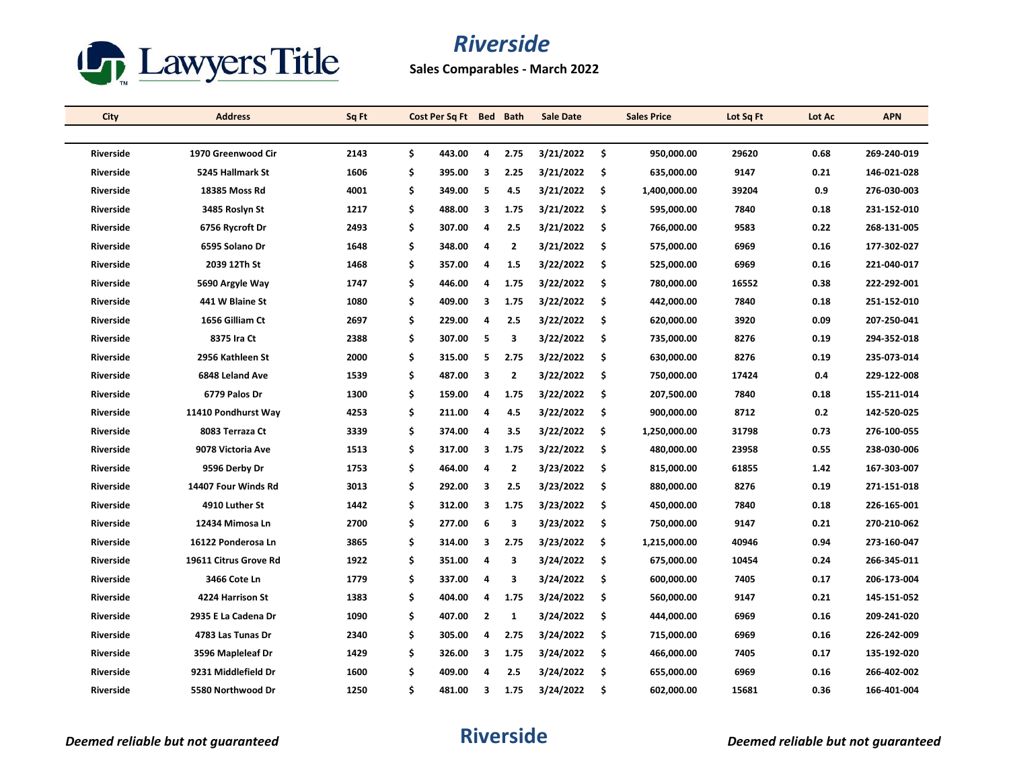

**Sales Comparables - March 2022**

| City             | <b>Address</b>        | Sq Ft | Cost Per Sq Ft Bed Bath |                |                | <b>Sale Date</b> |     | <b>Sales Price</b> | Lot Sq Ft | Lot Ac | <b>APN</b>  |
|------------------|-----------------------|-------|-------------------------|----------------|----------------|------------------|-----|--------------------|-----------|--------|-------------|
|                  |                       |       |                         |                |                |                  |     |                    |           |        |             |
| <b>Riverside</b> | 1970 Greenwood Cir    | 2143  | \$<br>443.00            | 4              | 2.75           | 3/21/2022        | \$  | 950.000.00         | 29620     | 0.68   | 269-240-019 |
| <b>Riverside</b> | 5245 Hallmark St      | 1606  | \$<br>395.00            | 3              | 2.25           | 3/21/2022        | \$  | 635,000.00         | 9147      | 0.21   | 146-021-028 |
| Riverside        | 18385 Moss Rd         | 4001  | \$<br>349.00            | 5              | 4.5            | 3/21/2022        | \$  | 1,400,000.00       | 39204     | 0.9    | 276-030-003 |
| <b>Riverside</b> | 3485 Roslyn St        | 1217  | \$<br>488.00            | 3              | 1.75           | 3/21/2022        | \$  | 595,000.00         | 7840      | 0.18   | 231-152-010 |
| <b>Riverside</b> | 6756 Rycroft Dr       | 2493  | \$<br>307.00            | 4              | 2.5            | 3/21/2022        | -\$ | 766,000.00         | 9583      | 0.22   | 268-131-005 |
| <b>Riverside</b> | 6595 Solano Dr        | 1648  | \$<br>348.00            | 4              | $\mathbf{2}$   | 3/21/2022        | -\$ | 575,000.00         | 6969      | 0.16   | 177-302-027 |
| <b>Riverside</b> | 2039 12Th St          | 1468  | \$<br>357.00            | 4              | 1.5            | 3/22/2022        | \$  | 525,000.00         | 6969      | 0.16   | 221-040-017 |
| <b>Riverside</b> | 5690 Argyle Way       | 1747  | \$<br>446.00            | 4              | 1.75           | 3/22/2022        | -\$ | 780,000.00         | 16552     | 0.38   | 222-292-001 |
| Riverside        | 441 W Blaine St       | 1080  | \$<br>409.00            | 3              | 1.75           | 3/22/2022        | \$  | 442,000.00         | 7840      | 0.18   | 251-152-010 |
| <b>Riverside</b> | 1656 Gilliam Ct       | 2697  | \$<br>229.00            | 4              | 2.5            | 3/22/2022        | \$  | 620,000.00         | 3920      | 0.09   | 207-250-041 |
| <b>Riverside</b> | 8375 Ira Ct           | 2388  | \$<br>307.00            | 5              | 3              | 3/22/2022        | -\$ | 735,000.00         | 8276      | 0.19   | 294-352-018 |
| <b>Riverside</b> | 2956 Kathleen St      | 2000  | \$<br>315.00            | 5              | 2.75           | 3/22/2022        | \$  | 630,000.00         | 8276      | 0.19   | 235-073-014 |
| <b>Riverside</b> | 6848 Leland Ave       | 1539  | \$<br>487.00            | 3              | $\overline{2}$ | 3/22/2022        | \$  | 750,000.00         | 17424     | 0.4    | 229-122-008 |
| <b>Riverside</b> | 6779 Palos Dr         | 1300  | \$<br>159.00            | 4              | 1.75           | 3/22/2022        | -\$ | 207,500.00         | 7840      | 0.18   | 155-211-014 |
| <b>Riverside</b> | 11410 Pondhurst Way   | 4253  | \$<br>211.00            | 4              | 4.5            | 3/22/2022        | \$  | 900,000.00         | 8712      | 0.2    | 142-520-025 |
| Riverside        | 8083 Terraza Ct       | 3339  | \$<br>374.00            | $\overline{4}$ | 3.5            | 3/22/2022        | \$  | 1,250,000.00       | 31798     | 0.73   | 276-100-055 |
| <b>Riverside</b> | 9078 Victoria Ave     | 1513  | \$<br>317.00            | 3              | 1.75           | 3/22/2022        | -\$ | 480,000.00         | 23958     | 0.55   | 238-030-006 |
| <b>Riverside</b> | 9596 Derby Dr         | 1753  | \$<br>464.00            | 4              | $\overline{2}$ | 3/23/2022        | \$  | 815,000.00         | 61855     | 1.42   | 167-303-007 |
| <b>Riverside</b> | 14407 Four Winds Rd   | 3013  | \$<br>292.00            | 3              | 2.5            | 3/23/2022        | \$  | 880,000.00         | 8276      | 0.19   | 271-151-018 |
| <b>Riverside</b> | 4910 Luther St        | 1442  | \$<br>312.00            | 3              | 1.75           | 3/23/2022        | -\$ | 450,000.00         | 7840      | 0.18   | 226-165-001 |
| <b>Riverside</b> | 12434 Mimosa Ln       | 2700  | \$<br>277.00            | 6              | 3              | 3/23/2022        | \$  | 750,000.00         | 9147      | 0.21   | 270-210-062 |
| Riverside        | 16122 Ponderosa Ln    | 3865  | \$<br>314.00            | 3              | 2.75           | 3/23/2022        | \$  | 1,215,000.00       | 40946     | 0.94   | 273-160-047 |
| <b>Riverside</b> | 19611 Citrus Grove Rd | 1922  | \$<br>351.00            | 4              | 3              | 3/24/2022        | \$  | 675,000.00         | 10454     | 0.24   | 266-345-011 |
| Riverside        | 3466 Cote Ln          | 1779  | \$<br>337.00            | 4              | 3              | 3/24/2022        | \$  | 600,000.00         | 7405      | 0.17   | 206-173-004 |
| <b>Riverside</b> | 4224 Harrison St      | 1383  | \$<br>404.00            | 4              | 1.75           | 3/24/2022        | \$. | 560,000.00         | 9147      | 0.21   | 145-151-052 |
| <b>Riverside</b> | 2935 E La Cadena Dr   | 1090  | \$<br>407.00            | $\overline{2}$ | 1              | 3/24/2022        | \$  | 444,000.00         | 6969      | 0.16   | 209-241-020 |
| Riverside        | 4783 Las Tunas Dr     | 2340  | \$<br>305.00            | 4              | 2.75           | 3/24/2022        | -\$ | 715,000.00         | 6969      | 0.16   | 226-242-009 |
| Riverside        | 3596 Mapleleaf Dr     | 1429  | \$<br>326.00            | 3              | 1.75           | 3/24/2022        | \$  | 466,000.00         | 7405      | 0.17   | 135-192-020 |
| <b>Riverside</b> | 9231 Middlefield Dr   | 1600  | \$<br>409.00            | 4              | 2.5            | 3/24/2022        | \$  | 655,000.00         | 6969      | 0.16   | 266-402-002 |
| <b>Riverside</b> | 5580 Northwood Dr     | 1250  | \$<br>481.00            | 3              | 1.75           | 3/24/2022        | \$  | 602,000.00         | 15681     | 0.36   | 166-401-004 |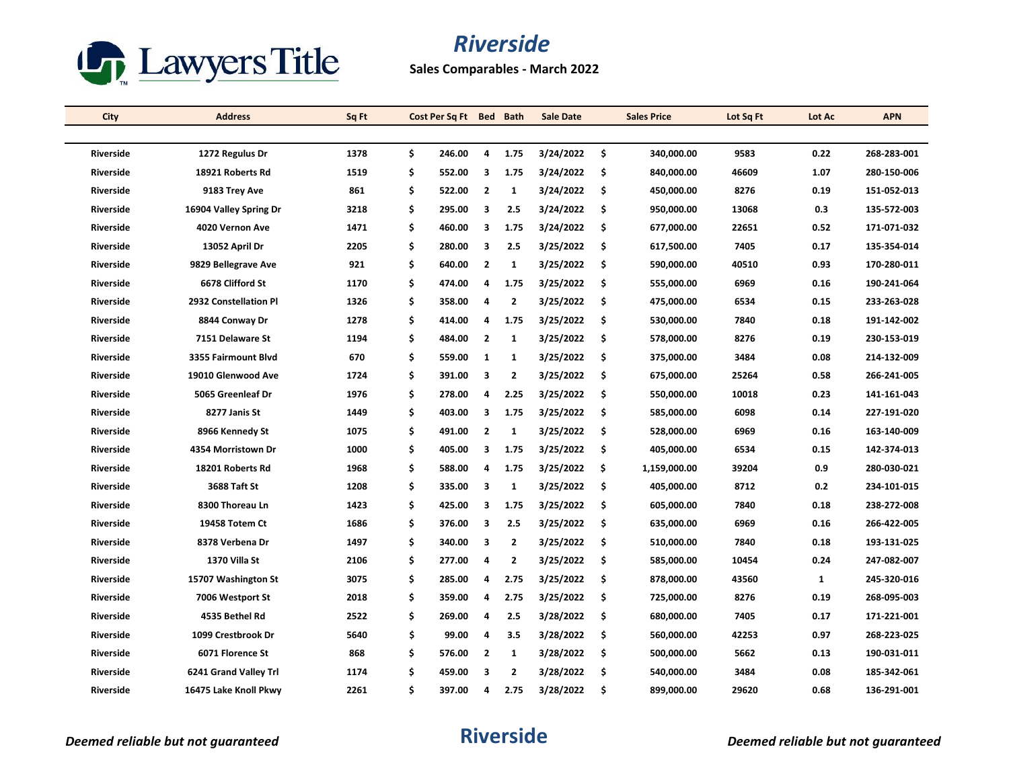

**Sales Comparables - March 2022**

| City             | <b>Address</b>         | Sq Ft | Cost Per Sq Ft Bed Bath |                |                | <b>Sale Date</b> |     | <b>Sales Price</b> | Lot Sq Ft | Lot Ac | <b>APN</b>  |
|------------------|------------------------|-------|-------------------------|----------------|----------------|------------------|-----|--------------------|-----------|--------|-------------|
|                  |                        |       |                         |                |                |                  |     |                    |           |        |             |
| <b>Riverside</b> | 1272 Regulus Dr        | 1378  | \$<br>246.00            | 4              | 1.75           | 3/24/2022        | \$  | 340.000.00         | 9583      | 0.22   | 268-283-001 |
| <b>Riverside</b> | 18921 Roberts Rd       | 1519  | \$<br>552.00            | 3              | 1.75           | 3/24/2022        | \$  | 840,000.00         | 46609     | 1.07   | 280-150-006 |
| <b>Riverside</b> | 9183 Trey Ave          | 861   | \$<br>522.00            | $\overline{2}$ | 1              | 3/24/2022        | \$  | 450,000.00         | 8276      | 0.19   | 151-052-013 |
| <b>Riverside</b> | 16904 Valley Spring Dr | 3218  | \$<br>295.00            | 3              | 2.5            | 3/24/2022        | \$  | 950,000.00         | 13068     | 0.3    | 135-572-003 |
| <b>Riverside</b> | 4020 Vernon Ave        | 1471  | \$<br>460.00            | 3              | 1.75           | 3/24/2022        | -\$ | 677,000.00         | 22651     | 0.52   | 171-071-032 |
| <b>Riverside</b> | 13052 April Dr         | 2205  | \$<br>280.00            | 3              | 2.5            | 3/25/2022        | -\$ | 617,500.00         | 7405      | 0.17   | 135-354-014 |
| <b>Riverside</b> | 9829 Bellegrave Ave    | 921   | \$<br>640.00            | $\overline{2}$ | $\mathbf{1}$   | 3/25/2022        | \$  | 590,000.00         | 40510     | 0.93   | 170-280-011 |
| <b>Riverside</b> | 6678 Clifford St       | 1170  | \$<br>474.00            | 4              | 1.75           | 3/25/2022        | \$  | 555,000.00         | 6969      | 0.16   | 190-241-064 |
| Riverside        | 2932 Constellation Pl  | 1326  | \$<br>358.00            | 4              | $\mathbf{2}$   | 3/25/2022        | \$  | 475,000.00         | 6534      | 0.15   | 233-263-028 |
| <b>Riverside</b> | 8844 Conway Dr         | 1278  | \$<br>414.00            | 4              | 1.75           | 3/25/2022        | \$  | 530,000.00         | 7840      | 0.18   | 191-142-002 |
| <b>Riverside</b> | 7151 Delaware St       | 1194  | \$<br>484.00            | $\overline{2}$ | 1              | 3/25/2022        | -\$ | 578,000.00         | 8276      | 0.19   | 230-153-019 |
| <b>Riverside</b> | 3355 Fairmount Blvd    | 670   | \$<br>559.00            | $\mathbf{1}$   | $\mathbf{1}$   | 3/25/2022        | \$  | 375,000.00         | 3484      | 0.08   | 214-132-009 |
| <b>Riverside</b> | 19010 Glenwood Ave     | 1724  | \$<br>391.00            | 3              | $\overline{2}$ | 3/25/2022        | \$  | 675,000.00         | 25264     | 0.58   | 266-241-005 |
| Riverside        | 5065 Greenleaf Dr      | 1976  | \$<br>278.00            | 4              | 2.25           | 3/25/2022        | -\$ | 550,000.00         | 10018     | 0.23   | 141-161-043 |
| <b>Riverside</b> | 8277 Janis St          | 1449  | \$<br>403.00            | 3              | 1.75           | 3/25/2022        | \$  | 585,000.00         | 6098      | 0.14   | 227-191-020 |
| <b>Riverside</b> | 8966 Kennedy St        | 1075  | \$<br>491.00            | $\overline{2}$ | 1              | 3/25/2022        | \$  | 528,000.00         | 6969      | 0.16   | 163-140-009 |
| <b>Riverside</b> | 4354 Morristown Dr     | 1000  | \$<br>405.00            | 3              | 1.75           | 3/25/2022        | -\$ | 405,000.00         | 6534      | 0.15   | 142-374-013 |
| <b>Riverside</b> | 18201 Roberts Rd       | 1968  | \$<br>588.00            | 4              | 1.75           | 3/25/2022        | \$  | 1,159,000.00       | 39204     | 0.9    | 280-030-021 |
| <b>Riverside</b> | 3688 Taft St           | 1208  | \$<br>335.00            | 3              | $\mathbf{1}$   | 3/25/2022        | \$  | 405,000.00         | 8712      | 0.2    | 234-101-015 |
| <b>Riverside</b> | 8300 Thoreau Ln        | 1423  | \$<br>425.00            | 3              | 1.75           | 3/25/2022        | -\$ | 605,000.00         | 7840      | 0.18   | 238-272-008 |
| <b>Riverside</b> | 19458 Totem Ct         | 1686  | \$<br>376.00            | 3              | 2.5            | 3/25/2022        | \$  | 635,000.00         | 6969      | 0.16   | 266-422-005 |
| <b>Riverside</b> | 8378 Verbena Dr        | 1497  | \$<br>340.00            | 3              | $\mathbf{2}$   | 3/25/2022        | \$  | 510,000.00         | 7840      | 0.18   | 193-131-025 |
| <b>Riverside</b> | 1370 Villa St          | 2106  | \$<br>277.00            | 4              | 2              | 3/25/2022        | \$  | 585,000.00         | 10454     | 0.24   | 247-082-007 |
| Riverside        | 15707 Washington St    | 3075  | \$<br>285.00            | 4              | 2.75           | 3/25/2022        | \$  | 878,000.00         | 43560     | 1      | 245-320-016 |
| <b>Riverside</b> | 7006 Westport St       | 2018  | \$<br>359.00            | 4              | 2.75           | 3/25/2022        | \$  | 725,000.00         | 8276      | 0.19   | 268-095-003 |
| <b>Riverside</b> | 4535 Bethel Rd         | 2522  | \$<br>269.00            | 4              | 2.5            | 3/28/2022        | \$  | 680,000.00         | 7405      | 0.17   | 171-221-001 |
| Riverside        | 1099 Crestbrook Dr     | 5640  | \$<br>99.00             | $\overline{4}$ | 3.5            | 3/28/2022        | \$. | 560,000.00         | 42253     | 0.97   | 268-223-025 |
| Riverside        | 6071 Florence St       | 868   | \$<br>576.00            | $\overline{2}$ | $\mathbf{1}$   | 3/28/2022        | \$  | 500,000.00         | 5662      | 0.13   | 190-031-011 |
| <b>Riverside</b> | 6241 Grand Valley Trl  | 1174  | \$<br>459.00            | 3              | $\mathbf{2}$   | 3/28/2022        | \$  | 540,000.00         | 3484      | 0.08   | 185-342-061 |
| <b>Riverside</b> | 16475 Lake Knoll Pkwy  | 2261  | \$<br>397.00            | 4              | 2.75           | 3/28/2022        | \$  | 899,000.00         | 29620     | 0.68   | 136-291-001 |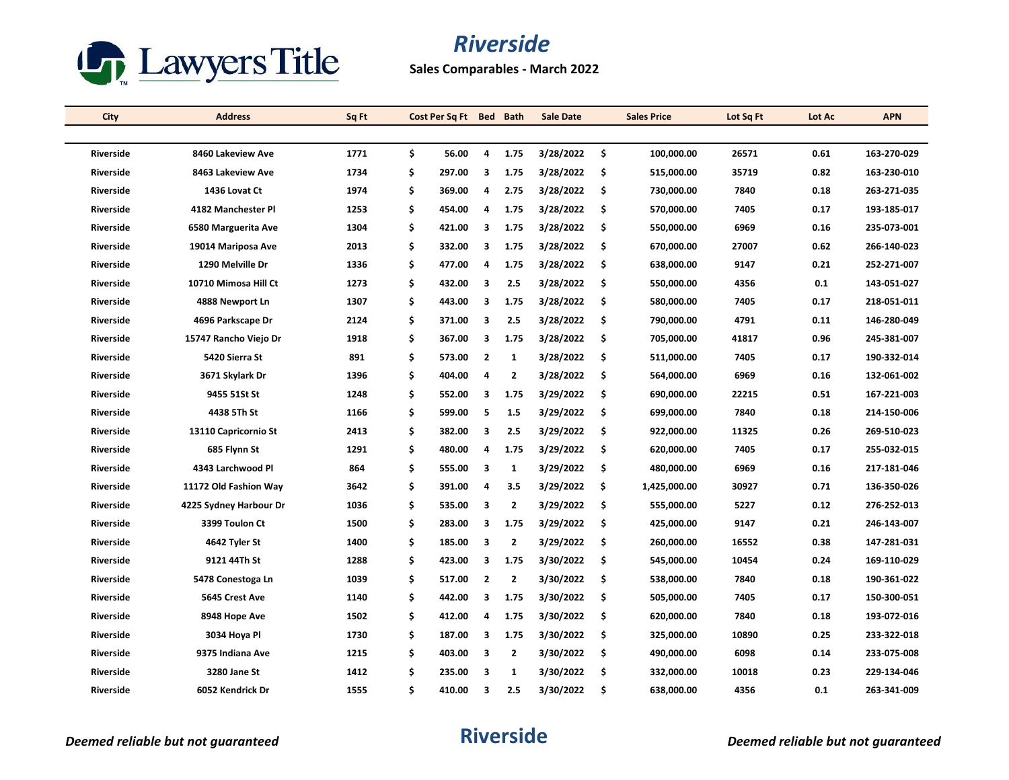

**Sales Comparables - March 2022**

| City             | <b>Address</b>         | Sq Ft | Cost Per Sq Ft Bed Bath |                         |                | <b>Sale Date</b> |     | <b>Sales Price</b> | Lot Sq Ft | Lot Ac | <b>APN</b>  |
|------------------|------------------------|-------|-------------------------|-------------------------|----------------|------------------|-----|--------------------|-----------|--------|-------------|
|                  |                        |       |                         |                         |                |                  |     |                    |           |        |             |
| <b>Riverside</b> | 8460 Lakeview Ave      | 1771  | \$<br>56.00             | 4                       | 1.75           | 3/28/2022        | Ŝ.  | 100.000.00         | 26571     | 0.61   | 163-270-029 |
| Riverside        | 8463 Lakeview Ave      | 1734  | \$<br>297.00            | 3                       | 1.75           | 3/28/2022        | -\$ | 515,000.00         | 35719     | 0.82   | 163-230-010 |
| Riverside        | 1436 Lovat Ct          | 1974  | \$<br>369.00            | 4                       | 2.75           | 3/28/2022        | \$  | 730,000.00         | 7840      | 0.18   | 263-271-035 |
| <b>Riverside</b> | 4182 Manchester Pl     | 1253  | \$<br>454.00            | 4                       | 1.75           | 3/28/2022        | \$. | 570,000.00         | 7405      | 0.17   | 193-185-017 |
| Riverside        | 6580 Marguerita Ave    | 1304  | \$<br>421.00            | 3                       | 1.75           | 3/28/2022        | -\$ | 550,000.00         | 6969      | 0.16   | 235-073-001 |
| Riverside        | 19014 Mariposa Ave     | 2013  | \$<br>332.00            | 3                       | 1.75           | 3/28/2022        | -\$ | 670,000.00         | 27007     | 0.62   | 266-140-023 |
| <b>Riverside</b> | 1290 Melville Dr       | 1336  | \$<br>477.00            | $\overline{a}$          | 1.75           | 3/28/2022        | \$  | 638,000.00         | 9147      | 0.21   | 252-271-007 |
| <b>Riverside</b> | 10710 Mimosa Hill Ct   | 1273  | \$<br>432.00            | 3                       | 2.5            | 3/28/2022        | -\$ | 550,000.00         | 4356      | 0.1    | 143-051-027 |
| Riverside        | 4888 Newport Ln        | 1307  | \$<br>443.00            | 3                       | 1.75           | 3/28/2022        | \$  | 580,000.00         | 7405      | 0.17   | 218-051-011 |
| Riverside        | 4696 Parkscape Dr      | 2124  | \$<br>371.00            | 3                       | 2.5            | 3/28/2022        | \$  | 790,000.00         | 4791      | 0.11   | 146-280-049 |
| <b>Riverside</b> | 15747 Rancho Viejo Dr  | 1918  | \$<br>367.00            | 3                       | 1.75           | 3/28/2022        | -\$ | 705,000.00         | 41817     | 0.96   | 245-381-007 |
| Riverside        | 5420 Sierra St         | 891   | \$<br>573.00            | $\overline{2}$          | $\mathbf{1}$   | 3/28/2022        | \$  | 511,000.00         | 7405      | 0.17   | 190-332-014 |
| Riverside        | 3671 Skylark Dr        | 1396  | \$<br>404.00            | 4                       | $\overline{2}$ | 3/28/2022        | \$. | 564,000.00         | 6969      | 0.16   | 132-061-002 |
| Riverside        | 9455 51St St           | 1248  | \$<br>552.00            | 3                       | 1.75           | 3/29/2022        | -\$ | 690,000.00         | 22215     | 0.51   | 167-221-003 |
| <b>Riverside</b> | 4438 5Th St            | 1166  | \$<br>599.00            | 5                       | 1.5            | 3/29/2022        | \$  | 699,000.00         | 7840      | 0.18   | 214-150-006 |
| Riverside        | 13110 Capricornio St   | 2413  | \$<br>382.00            | 3                       | 2.5            | 3/29/2022        | \$  | 922,000.00         | 11325     | 0.26   | 269-510-023 |
| Riverside        | 685 Flynn St           | 1291  | \$<br>480.00            | 4                       | 1.75           | 3/29/2022        | -\$ | 620,000.00         | 7405      | 0.17   | 255-032-015 |
| <b>Riverside</b> | 4343 Larchwood Pl      | 864   | \$<br>555.00            | 3                       | 1              | 3/29/2022        | \$  | 480,000.00         | 6969      | 0.16   | 217-181-046 |
| Riverside        | 11172 Old Fashion Way  | 3642  | \$<br>391.00            | 4                       | 3.5            | 3/29/2022        | \$  | 1,425,000.00       | 30927     | 0.71   | 136-350-026 |
| Riverside        | 4225 Sydney Harbour Dr | 1036  | \$<br>535.00            | 3                       | $\overline{2}$ | 3/29/2022        | -\$ | 555,000.00         | 5227      | 0.12   | 276-252-013 |
| Riverside        | 3399 Toulon Ct         | 1500  | \$<br>283.00            | 3                       | 1.75           | 3/29/2022        | \$  | 425,000.00         | 9147      | 0.21   | 246-143-007 |
| Riverside        | 4642 Tyler St          | 1400  | \$<br>185.00            | 3                       | $\overline{2}$ | 3/29/2022        | \$  | 260,000.00         | 16552     | 0.38   | 147-281-031 |
| <b>Riverside</b> | 9121 44Th St           | 1288  | \$<br>423.00            | 3                       | 1.75           | 3/30/2022        | \$  | 545,000.00         | 10454     | 0.24   | 169-110-029 |
| Riverside        | 5478 Conestoga Ln      | 1039  | \$<br>517.00            | $\overline{2}$          | $\overline{2}$ | 3/30/2022        | \$  | 538,000.00         | 7840      | 0.18   | 190-361-022 |
| <b>Riverside</b> | 5645 Crest Ave         | 1140  | \$<br>442.00            | 3                       | 1.75           | 3/30/2022        | -\$ | 505,000.00         | 7405      | 0.17   | 150-300-051 |
| <b>Riverside</b> | 8948 Hope Ave          | 1502  | \$<br>412.00            | 4                       | 1.75           | 3/30/2022        | \$  | 620,000.00         | 7840      | 0.18   | 193-072-016 |
| Riverside        | 3034 Hoya Pl           | 1730  | \$<br>187.00            | -3                      | 1.75           | 3/30/2022        | -\$ | 325,000.00         | 10890     | 0.25   | 233-322-018 |
| Riverside        | 9375 Indiana Ave       | 1215  | \$<br>403.00            | $\overline{\mathbf{3}}$ | $\overline{2}$ | 3/30/2022        | \$. | 490,000.00         | 6098      | 0.14   | 233-075-008 |
| <b>Riverside</b> | 3280 Jane St           | 1412  | \$<br>235.00            | з                       | 1              | 3/30/2022        | \$  | 332,000.00         | 10018     | 0.23   | 229-134-046 |
| <b>Riverside</b> | 6052 Kendrick Dr       | 1555  | \$<br>410.00            | 3                       | 2.5            | 3/30/2022        | \$. | 638,000.00         | 4356      | 0.1    | 263-341-009 |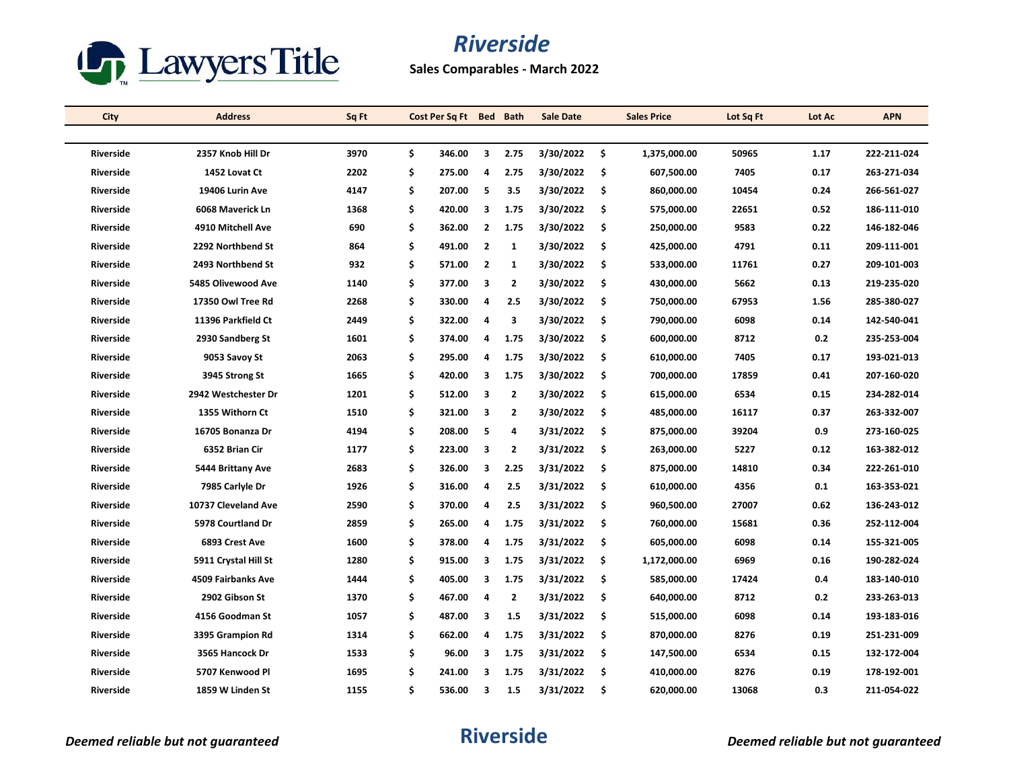

**Sales Comparables - March 2022**

| City             | <b>Address</b>       | Sq Ft | Cost Per Sq Ft Bed Bath |                         |                | <b>Sale Date</b> |     | <b>Sales Price</b> | Lot Sq Ft | Lot Ac | <b>APN</b>  |
|------------------|----------------------|-------|-------------------------|-------------------------|----------------|------------------|-----|--------------------|-----------|--------|-------------|
|                  |                      |       |                         |                         |                |                  |     |                    |           |        |             |
| <b>Riverside</b> | 2357 Knob Hill Dr    | 3970  | \$<br>346.00            | $\overline{\mathbf{3}}$ | 2.75           | 3/30/2022        | \$  | 1,375,000.00       | 50965     | 1.17   | 222-211-024 |
| Riverside        | 1452 Lovat Ct        | 2202  | \$<br>275.00            | 4                       | 2.75           | 3/30/2022        | -\$ | 607,500.00         | 7405      | 0.17   | 263-271-034 |
| Riverside        | 19406 Lurin Ave      | 4147  | \$<br>207.00            | 5                       | 3.5            | 3/30/2022        | \$  | 860,000.00         | 10454     | 0.24   | 266-561-027 |
| <b>Riverside</b> | 6068 Maverick Ln     | 1368  | \$<br>420.00            | 3                       | 1.75           | 3/30/2022        | \$. | 575,000.00         | 22651     | 0.52   | 186-111-010 |
| <b>Riverside</b> | 4910 Mitchell Ave    | 690   | \$<br>362.00            | $\overline{2}$          | 1.75           | 3/30/2022        | -\$ | 250,000.00         | 9583      | 0.22   | 146-182-046 |
| <b>Riverside</b> | 2292 Northbend St    | 864   | \$<br>491.00            | $\overline{2}$          | $\mathbf{1}$   | 3/30/2022        | -\$ | 425,000.00         | 4791      | 0.11   | 209-111-001 |
| <b>Riverside</b> | 2493 Northbend St    | 932   | \$<br>571.00            | $\overline{2}$          | $\mathbf{1}$   | 3/30/2022        | \$  | 533,000.00         | 11761     | 0.27   | 209-101-003 |
| <b>Riverside</b> | 5485 Olivewood Ave   | 1140  | \$<br>377.00            | 3                       | $\overline{2}$ | 3/30/2022        | -\$ | 430,000.00         | 5662      | 0.13   | 219-235-020 |
| Riverside        | 17350 Owl Tree Rd    | 2268  | \$<br>330.00            | 4                       | 2.5            | 3/30/2022        | \$  | 750,000.00         | 67953     | 1.56   | 285-380-027 |
| Riverside        | 11396 Parkfield Ct   | 2449  | \$<br>322.00            | 4                       | 3              | 3/30/2022        | \$  | 790,000.00         | 6098      | 0.14   | 142-540-041 |
| <b>Riverside</b> | 2930 Sandberg St     | 1601  | \$<br>374.00            | 4                       | 1.75           | 3/30/2022        | -\$ | 600,000.00         | 8712      | 0.2    | 235-253-004 |
| <b>Riverside</b> | 9053 Savoy St        | 2063  | \$<br>295.00            | 4                       | 1.75           | 3/30/2022        | \$  | 610,000.00         | 7405      | 0.17   | 193-021-013 |
| <b>Riverside</b> | 3945 Strong St       | 1665  | \$<br>420.00            | 3                       | 1.75           | 3/30/2022        | \$. | 700,000.00         | 17859     | 0.41   | 207-160-020 |
| Riverside        | 2942 Westchester Dr  | 1201  | \$<br>512.00            | $\overline{\mathbf{3}}$ | $\overline{2}$ | 3/30/2022        | -\$ | 615,000.00         | 6534      | 0.15   | 234-282-014 |
| <b>Riverside</b> | 1355 Withorn Ct      | 1510  | \$<br>321.00            | 3                       | 2              | 3/30/2022        | \$  | 485,000.00         | 16117     | 0.37   | 263-332-007 |
| <b>Riverside</b> | 16705 Bonanza Dr     | 4194  | \$<br>208.00            | 5                       | 4              | 3/31/2022        | \$  | 875,000.00         | 39204     | 0.9    | 273-160-025 |
| <b>Riverside</b> | 6352 Brian Cir       | 1177  | \$<br>223.00            | 3                       | 2              | 3/31/2022        | -\$ | 263,000.00         | 5227      | 0.12   | 163-382-012 |
| <b>Riverside</b> | 5444 Brittany Ave    | 2683  | \$<br>326.00            | 3                       | 2.25           | 3/31/2022        | \$. | 875,000.00         | 14810     | 0.34   | 222-261-010 |
| <b>Riverside</b> | 7985 Carlyle Dr      | 1926  | \$<br>316.00            | 4                       | 2.5            | 3/31/2022        | \$  | 610,000.00         | 4356      | 0.1    | 163-353-021 |
| <b>Riverside</b> | 10737 Cleveland Ave  | 2590  | \$<br>370.00            | 4                       | 2.5            | 3/31/2022        | -\$ | 960,500.00         | 27007     | 0.62   | 136-243-012 |
| <b>Riverside</b> | 5978 Courtland Dr    | 2859  | \$<br>265.00            | $\overline{a}$          | 1.75           | 3/31/2022        | -\$ | 760,000.00         | 15681     | 0.36   | 252-112-004 |
| Riverside        | 6893 Crest Ave       | 1600  | \$<br>378.00            | 4                       | 1.75           | 3/31/2022        | \$  | 605,000.00         | 6098      | 0.14   | 155-321-005 |
| <b>Riverside</b> | 5911 Crystal Hill St | 1280  | \$<br>915.00            | з                       | 1.75           | 3/31/2022        | \$  | 1,172,000.00       | 6969      | 0.16   | 190-282-024 |
| Riverside        | 4509 Fairbanks Ave   | 1444  | \$<br>405.00            | 3                       | 1.75           | 3/31/2022        | \$  | 585,000.00         | 17424     | 0.4    | 183-140-010 |
| <b>Riverside</b> | 2902 Gibson St       | 1370  | \$<br>467.00            | 4                       | $\overline{2}$ | 3/31/2022        | -\$ | 640,000.00         | 8712      | 0.2    | 233-263-013 |
| <b>Riverside</b> | 4156 Goodman St      | 1057  | \$<br>487.00            | 3                       | 1.5            | 3/31/2022        | \$  | 515,000.00         | 6098      | 0.14   | 193-183-016 |
| Riverside        | 3395 Grampion Rd     | 1314  | \$<br>662.00            | 4                       | 1.75           | 3/31/2022        | -\$ | 870,000.00         | 8276      | 0.19   | 251-231-009 |
| Riverside        | 3565 Hancock Dr      | 1533  | \$<br>96.00             | $\overline{\mathbf{3}}$ | 1.75           | 3/31/2022        | \$. | 147,500.00         | 6534      | 0.15   | 132-172-004 |
| <b>Riverside</b> | 5707 Kenwood Pl      | 1695  | \$<br>241.00            | 3                       | 1.75           | 3/31/2022        | \$  | 410,000.00         | 8276      | 0.19   | 178-192-001 |
| <b>Riverside</b> | 1859 W Linden St     | 1155  | \$<br>536.00            | 3                       | 1.5            | 3/31/2022        | \$. | 620,000.00         | 13068     | 0.3    | 211-054-022 |